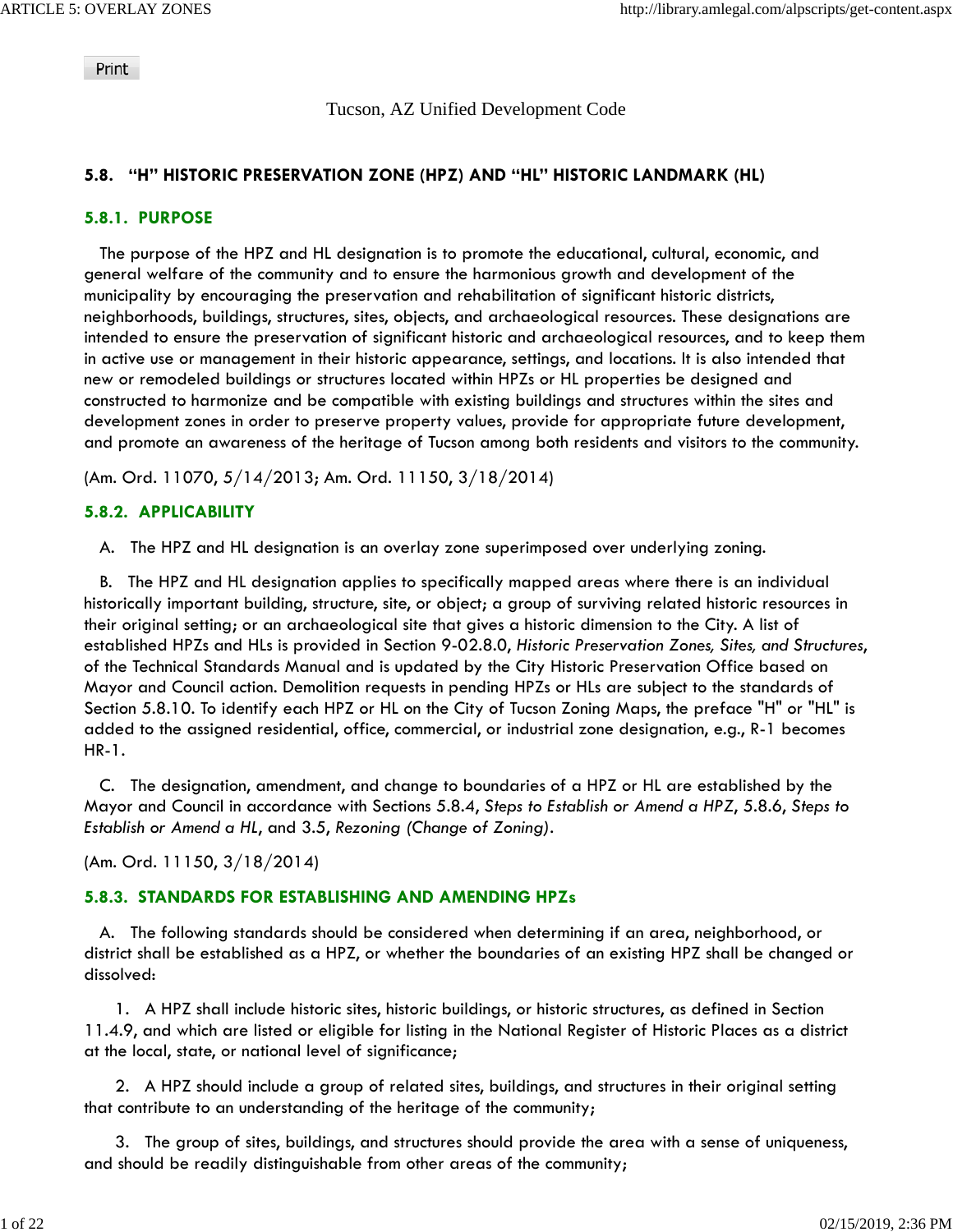Print

### Tucson, AZ Unified Development Code

## **5.8. "H" HISTORIC PRESERVATION ZONE (HPZ) AND "HL" HISTORIC LANDMARK (HL)**

#### **5.8.1. PURPOSE**

 The purpose of the HPZ and HL designation is to promote the educational, cultural, economic, and general welfare of the community and to ensure the harmonious growth and development of the municipality by encouraging the preservation and rehabilitation of significant historic districts, neighborhoods, buildings, structures, sites, objects, and archaeological resources. These designations are intended to ensure the preservation of significant historic and archaeological resources, and to keep them in active use or management in their historic appearance, settings, and locations. It is also intended that new or remodeled buildings or structures located within HPZs or HL properties be designed and constructed to harmonize and be compatible with existing buildings and structures within the sites and development zones in order to preserve property values, provide for appropriate future development, and promote an awareness of the heritage of Tucson among both residents and visitors to the community.

(Am. Ord. 11070, 5/14/2013; Am. Ord. 11150, 3/18/2014)

#### **5.8.2. APPLICABILITY**

A. The HPZ and HL designation is an overlay zone superimposed over underlying zoning.

 B. The HPZ and HL designation applies to specifically mapped areas where there is an individual historically important building, structure, site, or object; a group of surviving related historic resources in their original setting; or an archaeological site that gives a historic dimension to the City. A list of established HPZs and HLs is provided in Section 9-02.8.0, *Historic Preservation Zones, Sites, and Structures*, of the Technical Standards Manual and is updated by the City Historic Preservation Office based on Mayor and Council action. Demolition requests in pending HPZs or HLs are subject to the standards of Section 5.8.10. To identify each HPZ or HL on the City of Tucson Zoning Maps, the preface "H" or "HL" is added to the assigned residential, office, commercial, or industrial zone designation, e.g., R-1 becomes HR-1.

 C. The designation, amendment, and change to boundaries of a HPZ or HL are established by the Mayor and Council in accordance with Sections 5.8.4, *Steps to Establish or Amend a HPZ*, 5.8.6, *Steps to Establish or Amend a HL*, and 3.5, *Rezoning (Change of Zoning)*.

(Am. Ord. 11150, 3/18/2014)

### **5.8.3. STANDARDS FOR ESTABLISHING AND AMENDING HPZs**

 A. The following standards should be considered when determining if an area, neighborhood, or district shall be established as a HPZ, or whether the boundaries of an existing HPZ shall be changed or dissolved:

 1. A HPZ shall include historic sites, historic buildings, or historic structures, as defined in Section 11.4.9, and which are listed or eligible for listing in the National Register of Historic Places as a district at the local, state, or national level of significance;

 2. A HPZ should include a group of related sites, buildings, and structures in their original setting that contribute to an understanding of the heritage of the community;

 3. The group of sites, buildings, and structures should provide the area with a sense of uniqueness, and should be readily distinguishable from other areas of the community;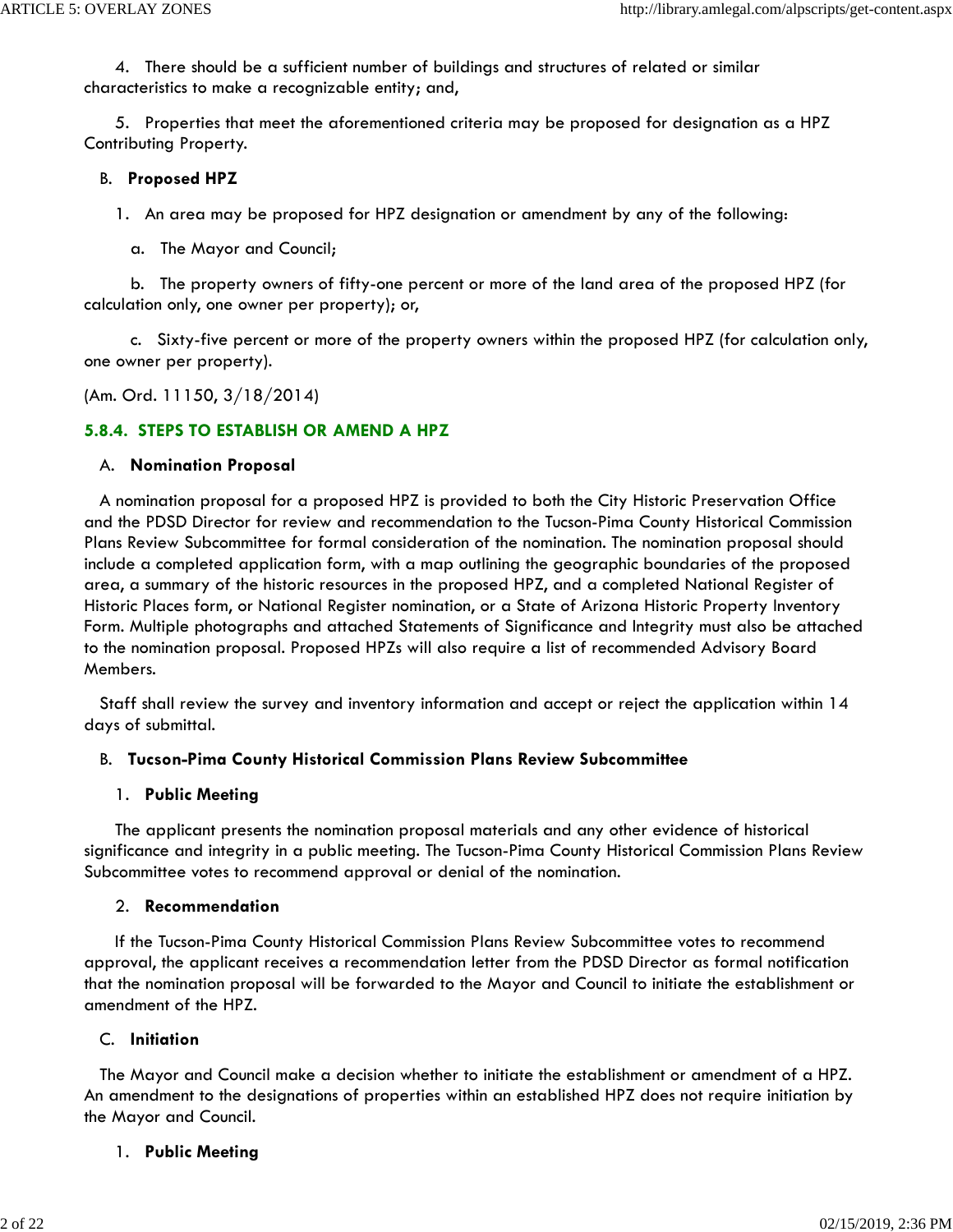4. There should be a sufficient number of buildings and structures of related or similar characteristics to make a recognizable entity; and,

 5. Properties that meet the aforementioned criteria may be proposed for designation as a HPZ Contributing Property.

### B. **Proposed HPZ**

1. An area may be proposed for HPZ designation or amendment by any of the following:

a. The Mayor and Council;

 b. The property owners of fifty-one percent or more of the land area of the proposed HPZ (for calculation only, one owner per property); or,

 c. Sixty-five percent or more of the property owners within the proposed HPZ (for calculation only, one owner per property).

(Am. Ord. 11150, 3/18/2014)

# **5.8.4. STEPS TO ESTABLISH OR AMEND A HPZ**

### A. **Nomination Proposal**

 A nomination proposal for a proposed HPZ is provided to both the City Historic Preservation Office and the PDSD Director for review and recommendation to the Tucson-Pima County Historical Commission Plans Review Subcommittee for formal consideration of the nomination. The nomination proposal should include a completed application form, with a map outlining the geographic boundaries of the proposed area, a summary of the historic resources in the proposed HPZ, and a completed National Register of Historic Places form, or National Register nomination, or a State of Arizona Historic Property Inventory Form. Multiple photographs and attached Statements of Significance and Integrity must also be attached to the nomination proposal. Proposed HPZs will also require a list of recommended Advisory Board Members.

 Staff shall review the survey and inventory information and accept or reject the application within 14 days of submittal.

# B. **Tucson-Pima County Historical Commission Plans Review Subcommittee**

### 1. **Public Meeting**

 The applicant presents the nomination proposal materials and any other evidence of historical significance and integrity in a public meeting. The Tucson-Pima County Historical Commission Plans Review Subcommittee votes to recommend approval or denial of the nomination.

### 2. **Recommendation**

 If the Tucson-Pima County Historical Commission Plans Review Subcommittee votes to recommend approval, the applicant receives a recommendation letter from the PDSD Director as formal notification that the nomination proposal will be forwarded to the Mayor and Council to initiate the establishment or amendment of the HPZ.

# C. **Initiation**

 The Mayor and Council make a decision whether to initiate the establishment or amendment of a HPZ. An amendment to the designations of properties within an established HPZ does not require initiation by the Mayor and Council.

# 1. **Public Meeting**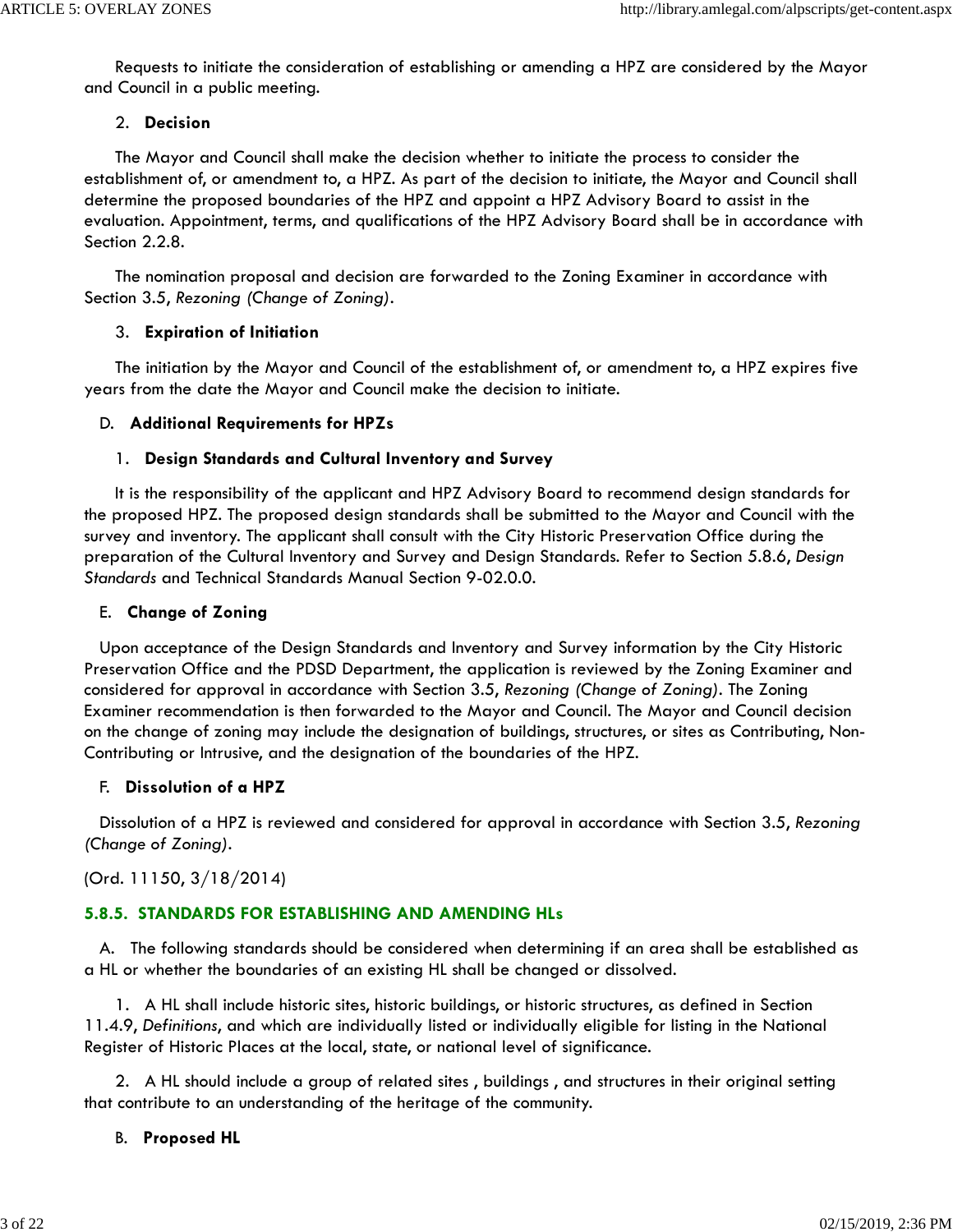Requests to initiate the consideration of establishing or amending a HPZ are considered by the Mayor and Council in a public meeting.

#### 2. **Decision**

 The Mayor and Council shall make the decision whether to initiate the process to consider the establishment of, or amendment to, a HPZ. As part of the decision to initiate, the Mayor and Council shall determine the proposed boundaries of the HPZ and appoint a HPZ Advisory Board to assist in the evaluation. Appointment, terms, and qualifications of the HPZ Advisory Board shall be in accordance with Section 2.2.8.

 The nomination proposal and decision are forwarded to the Zoning Examiner in accordance with Section 3.5, *Rezoning (Change of Zoning)*.

### 3. **Expiration of Initiation**

 The initiation by the Mayor and Council of the establishment of, or amendment to, a HPZ expires five years from the date the Mayor and Council make the decision to initiate.

#### D. **Additional Requirements for HPZs**

#### 1. **Design Standards and Cultural Inventory and Survey**

 It is the responsibility of the applicant and HPZ Advisory Board to recommend design standards for the proposed HPZ. The proposed design standards shall be submitted to the Mayor and Council with the survey and inventory. The applicant shall consult with the City Historic Preservation Office during the preparation of the Cultural Inventory and Survey and Design Standards. Refer to Section 5.8.6, *Design Standards* and Technical Standards Manual Section 9-02.0.0.

#### E. **Change of Zoning**

 Upon acceptance of the Design Standards and Inventory and Survey information by the City Historic Preservation Office and the PDSD Department, the application is reviewed by the Zoning Examiner and considered for approval in accordance with Section 3.5, *Rezoning (Change of Zoning)*. The Zoning Examiner recommendation is then forwarded to the Mayor and Council. The Mayor and Council decision on the change of zoning may include the designation of buildings, structures, or sites as Contributing, Non-Contributing or Intrusive, and the designation of the boundaries of the HPZ.

#### F. **Dissolution of a HPZ**

 Dissolution of a HPZ is reviewed and considered for approval in accordance with Section 3.5, *Rezoning (Change of Zoning)*.

(Ord. 11150, 3/18/2014)

# **5.8.5. STANDARDS FOR ESTABLISHING AND AMENDING HLs**

 A. The following standards should be considered when determining if an area shall be established as a HL or whether the boundaries of an existing HL shall be changed or dissolved.

 1. A HL shall include historic sites, historic buildings, or historic structures, as defined in Section 11.4.9, *Definitions*, and which are individually listed or individually eligible for listing in the National Register of Historic Places at the local, state, or national level of significance.

 2. A HL should include a group of related sites , buildings , and structures in their original setting that contribute to an understanding of the heritage of the community.

# B. **Proposed HL**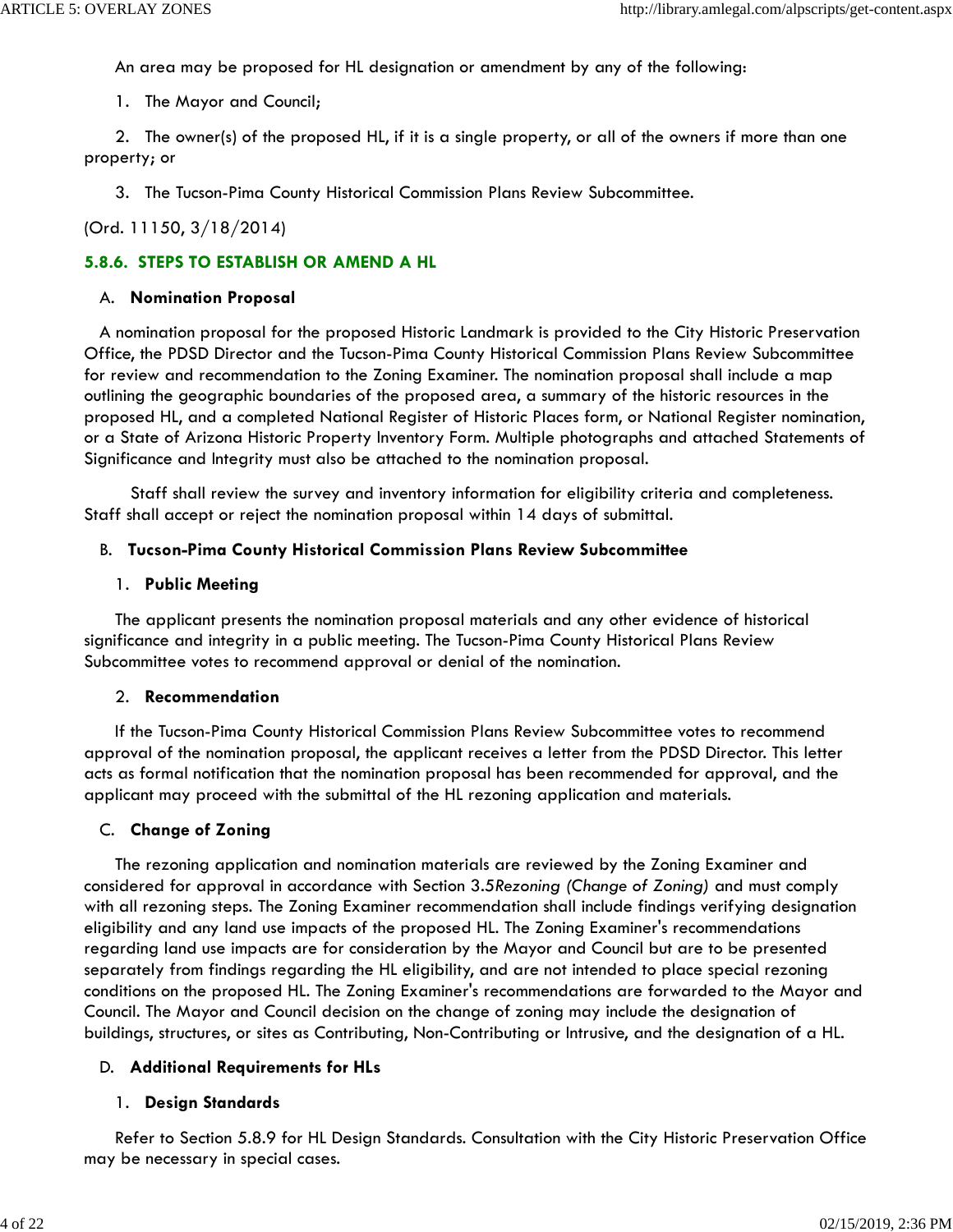An area may be proposed for HL designation or amendment by any of the following:

1. The Mayor and Council;

 2. The owner(s) of the proposed HL, if it is a single property, or all of the owners if more than one property; or

3. The Tucson-Pima County Historical Commission Plans Review Subcommittee.

(Ord. 11150, 3/18/2014)

### **5.8.6. STEPS TO ESTABLISH OR AMEND A HL**

#### A. **Nomination Proposal**

 A nomination proposal for the proposed Historic Landmark is provided to the City Historic Preservation Office, the PDSD Director and the Tucson-Pima County Historical Commission Plans Review Subcommittee for review and recommendation to the Zoning Examiner. The nomination proposal shall include a map outlining the geographic boundaries of the proposed area, a summary of the historic resources in the proposed HL, and a completed National Register of Historic Places form, or National Register nomination, or a State of Arizona Historic Property Inventory Form. Multiple photographs and attached Statements of Significance and Integrity must also be attached to the nomination proposal.

 Staff shall review the survey and inventory information for eligibility criteria and completeness. Staff shall accept or reject the nomination proposal within 14 days of submittal.

### B. **Tucson-Pima County Historical Commission Plans Review Subcommittee**

#### 1. **Public Meeting**

 The applicant presents the nomination proposal materials and any other evidence of historical significance and integrity in a public meeting. The Tucson-Pima County Historical Plans Review Subcommittee votes to recommend approval or denial of the nomination.

#### 2. **Recommendation**

 If the Tucson-Pima County Historical Commission Plans Review Subcommittee votes to recommend approval of the nomination proposal, the applicant receives a letter from the PDSD Director. This letter acts as formal notification that the nomination proposal has been recommended for approval, and the applicant may proceed with the submittal of the HL rezoning application and materials.

#### C. **Change of Zoning**

 The rezoning application and nomination materials are reviewed by the Zoning Examiner and considered for approval in accordance with Section 3.5*Rezoning (Change of Zoning)* and must comply with all rezoning steps. The Zoning Examiner recommendation shall include findings verifying designation eligibility and any land use impacts of the proposed HL. The Zoning Examiner's recommendations regarding land use impacts are for consideration by the Mayor and Council but are to be presented separately from findings regarding the HL eligibility, and are not intended to place special rezoning conditions on the proposed HL. The Zoning Examiner's recommendations are forwarded to the Mayor and Council. The Mayor and Council decision on the change of zoning may include the designation of buildings, structures, or sites as Contributing, Non-Contributing or Intrusive, and the designation of a HL.

### D. **Additional Requirements for HLs**

### 1. **Design Standards**

 Refer to Section 5.8.9 for HL Design Standards. Consultation with the City Historic Preservation Office may be necessary in special cases.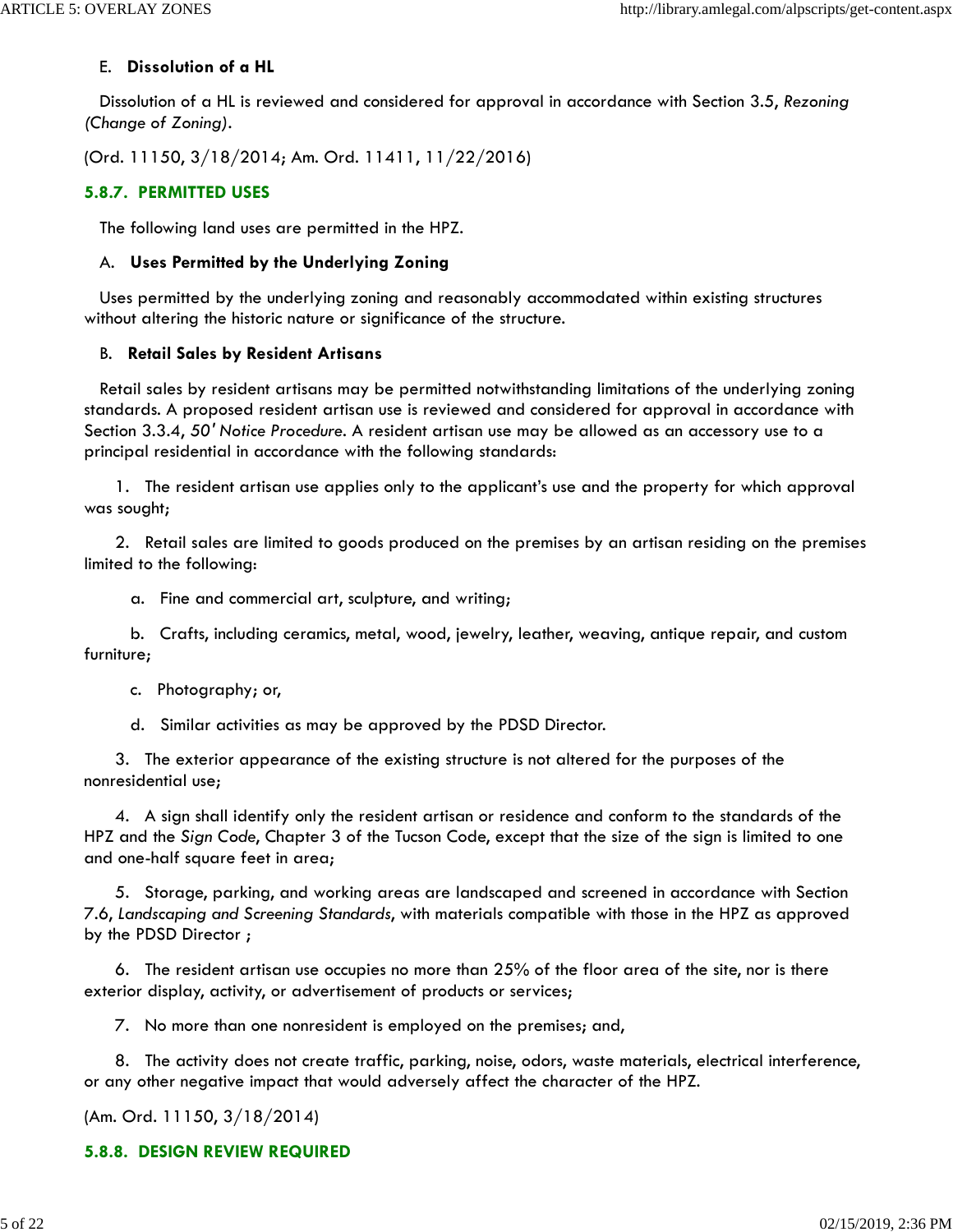### E. **Dissolution of a HL**

 Dissolution of a HL is reviewed and considered for approval in accordance with Section 3.5, *Rezoning (Change of Zoning)*.

(Ord. 11150, 3/18/2014; Am. Ord. 11411, 11/22/2016)

# **5.8.7. PERMITTED USES**

The following land uses are permitted in the HPZ.

## A. **Uses Permitted by the Underlying Zoning**

 Uses permitted by the underlying zoning and reasonably accommodated within existing structures without altering the historic nature or significance of the structure.

### B. **Retail Sales by Resident Artisans**

 Retail sales by resident artisans may be permitted notwithstanding limitations of the underlying zoning standards. A proposed resident artisan use is reviewed and considered for approval in accordance with Section 3.3.4, *50' Notice Procedure*. A resident artisan use may be allowed as an accessory use to a principal residential in accordance with the following standards:

 1. The resident artisan use applies only to the applicant's use and the property for which approval was sought;

 2. Retail sales are limited to goods produced on the premises by an artisan residing on the premises limited to the following:

a. Fine and commercial art, sculpture, and writing;

 b. Crafts, including ceramics, metal, wood, jewelry, leather, weaving, antique repair, and custom furniture;

c. Photography; or,

d. Similar activities as may be approved by the PDSD Director.

 3. The exterior appearance of the existing structure is not altered for the purposes of the nonresidential use;

 4. A sign shall identify only the resident artisan or residence and conform to the standards of the HPZ and the *Sign Code*, Chapter 3 of the Tucson Code, except that the size of the sign is limited to one and one-half square feet in area;

 5. Storage, parking, and working areas are landscaped and screened in accordance with Section 7.6, *Landscaping and Screening Standards*, with materials compatible with those in the HPZ as approved by the PDSD Director ;

 6. The resident artisan use occupies no more than 25% of the floor area of the site, nor is there exterior display, activity, or advertisement of products or services;

7. No more than one nonresident is employed on the premises; and,

 8. The activity does not create traffic, parking, noise, odors, waste materials, electrical interference, or any other negative impact that would adversely affect the character of the HPZ.

(Am. Ord. 11150, 3/18/2014)

# **5.8.8. DESIGN REVIEW REQUIRED**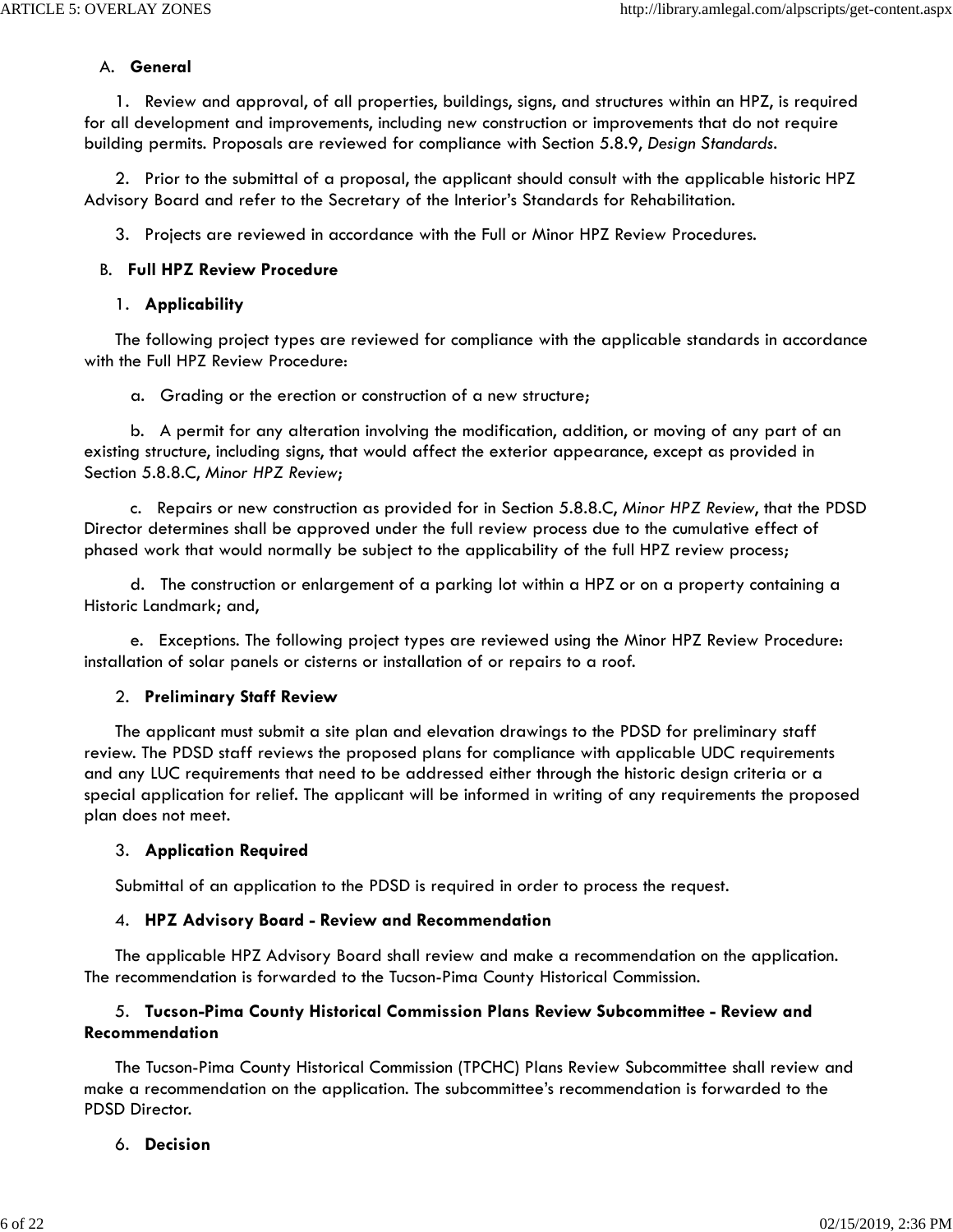#### A. **General**

 1. Review and approval, of all properties, buildings, signs, and structures within an HPZ, is required for all development and improvements, including new construction or improvements that do not require building permits. Proposals are reviewed for compliance with Section 5.8.9, *Design Standards*.

 2. Prior to the submittal of a proposal, the applicant should consult with the applicable historic HPZ Advisory Board and refer to the Secretary of the Interior's Standards for Rehabilitation.

3. Projects are reviewed in accordance with the Full or Minor HPZ Review Procedures.

#### B. **Full HPZ Review Procedure**

#### 1. **Applicability**

 The following project types are reviewed for compliance with the applicable standards in accordance with the Full HPZ Review Procedure:

a. Grading or the erection or construction of a new structure;

 b. A permit for any alteration involving the modification, addition, or moving of any part of an existing structure, including signs, that would affect the exterior appearance, except as provided in Section 5.8.8.C, *Minor HPZ Review*;

 c. Repairs or new construction as provided for in Section 5.8.8.C, *Minor HPZ Review*, that the PDSD Director determines shall be approved under the full review process due to the cumulative effect of phased work that would normally be subject to the applicability of the full HPZ review process;

 d. The construction or enlargement of a parking lot within a HPZ or on a property containing a Historic Landmark; and,

 e. Exceptions. The following project types are reviewed using the Minor HPZ Review Procedure: installation of solar panels or cisterns or installation of or repairs to a roof.

#### 2. **Preliminary Staff Review**

 The applicant must submit a site plan and elevation drawings to the PDSD for preliminary staff review. The PDSD staff reviews the proposed plans for compliance with applicable UDC requirements and any LUC requirements that need to be addressed either through the historic design criteria or a special application for relief. The applicant will be informed in writing of any requirements the proposed plan does not meet.

#### 3. **Application Required**

Submittal of an application to the PDSD is required in order to process the request.

#### 4. **HPZ Advisory Board - Review and Recommendation**

 The applicable HPZ Advisory Board shall review and make a recommendation on the application. The recommendation is forwarded to the Tucson-Pima County Historical Commission.

## 5. **Tucson-Pima County Historical Commission Plans Review Subcommittee - Review and Recommendation**

 The Tucson-Pima County Historical Commission (TPCHC) Plans Review Subcommittee shall review and make a recommendation on the application. The subcommittee's recommendation is forwarded to the PDSD Director.

### 6. **Decision**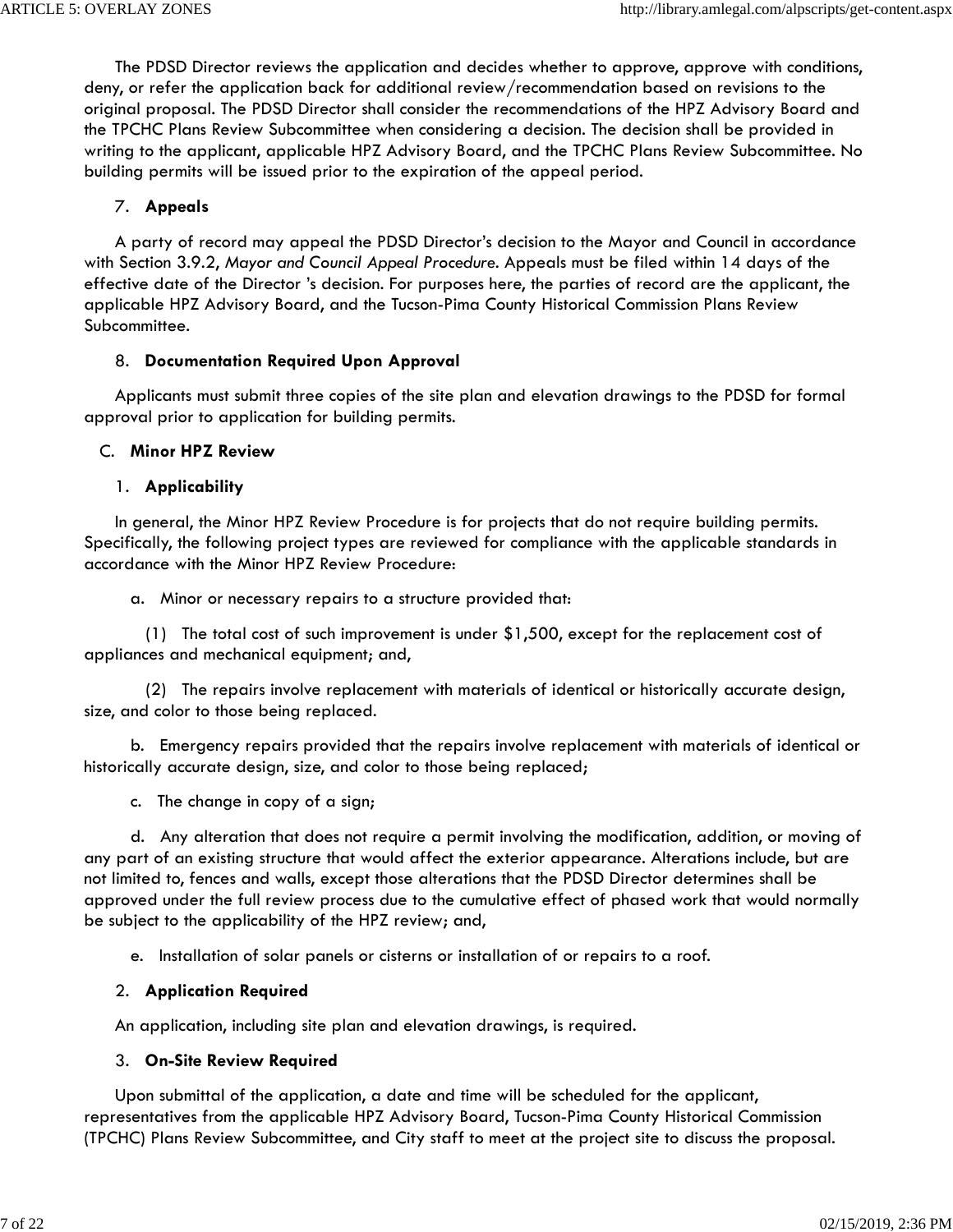The PDSD Director reviews the application and decides whether to approve, approve with conditions, deny, or refer the application back for additional review/recommendation based on revisions to the original proposal. The PDSD Director shall consider the recommendations of the HPZ Advisory Board and the TPCHC Plans Review Subcommittee when considering a decision. The decision shall be provided in writing to the applicant, applicable HPZ Advisory Board, and the TPCHC Plans Review Subcommittee. No building permits will be issued prior to the expiration of the appeal period.

### 7. **Appeals**

 A party of record may appeal the PDSD Director's decision to the Mayor and Council in accordance with Section 3.9.2, *Mayor and Council Appeal Procedure*. Appeals must be filed within 14 days of the effective date of the Director 's decision. For purposes here, the parties of record are the applicant, the applicable HPZ Advisory Board, and the Tucson-Pima County Historical Commission Plans Review Subcommittee.

### 8. **Documentation Required Upon Approval**

 Applicants must submit three copies of the site plan and elevation drawings to the PDSD for formal approval prior to application for building permits.

## C. **Minor HPZ Review**

## 1. **Applicability**

 In general, the Minor HPZ Review Procedure is for projects that do not require building permits. Specifically, the following project types are reviewed for compliance with the applicable standards in accordance with the Minor HPZ Review Procedure:

a. Minor or necessary repairs to a structure provided that:

 (1) The total cost of such improvement is under \$1,500, except for the replacement cost of appliances and mechanical equipment; and,

 (2) The repairs involve replacement with materials of identical or historically accurate design, size, and color to those being replaced.

 b. Emergency repairs provided that the repairs involve replacement with materials of identical or historically accurate design, size, and color to those being replaced;

c. The change in copy of a sign;

 d. Any alteration that does not require a permit involving the modification, addition, or moving of any part of an existing structure that would affect the exterior appearance. Alterations include, but are not limited to, fences and walls, except those alterations that the PDSD Director determines shall be approved under the full review process due to the cumulative effect of phased work that would normally be subject to the applicability of the HPZ review; and,

e. Installation of solar panels or cisterns or installation of or repairs to a roof.

# 2. **Application Required**

An application, including site plan and elevation drawings, is required.

# 3. **On-Site Review Required**

 Upon submittal of the application, a date and time will be scheduled for the applicant, representatives from the applicable HPZ Advisory Board, Tucson-Pima County Historical Commission (TPCHC) Plans Review Subcommittee, and City staff to meet at the project site to discuss the proposal.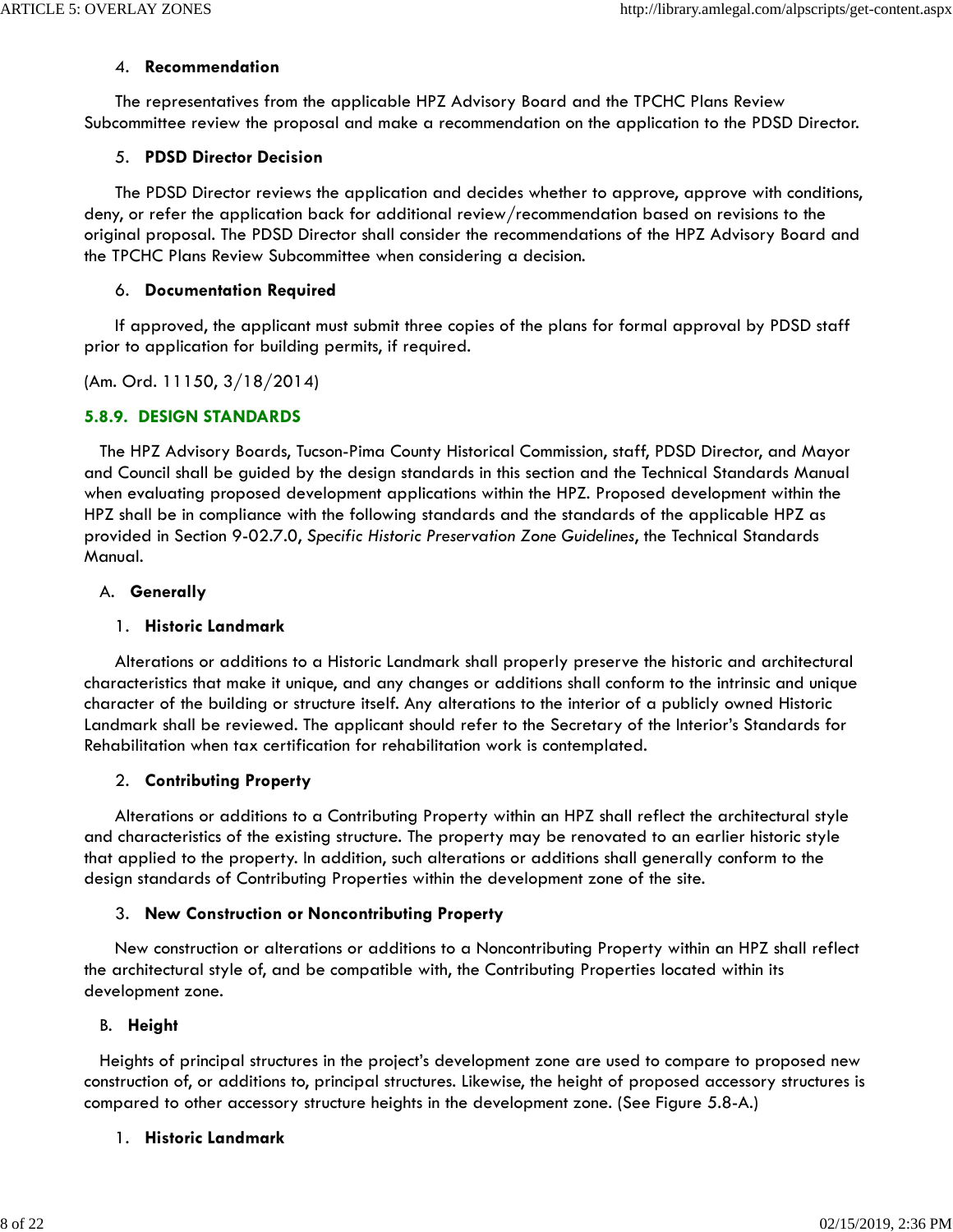#### 4. **Recommendation**

 The representatives from the applicable HPZ Advisory Board and the TPCHC Plans Review Subcommittee review the proposal and make a recommendation on the application to the PDSD Director.

### 5. **PDSD Director Decision**

 The PDSD Director reviews the application and decides whether to approve, approve with conditions, deny, or refer the application back for additional review/recommendation based on revisions to the original proposal. The PDSD Director shall consider the recommendations of the HPZ Advisory Board and the TPCHC Plans Review Subcommittee when considering a decision.

### 6. **Documentation Required**

 If approved, the applicant must submit three copies of the plans for formal approval by PDSD staff prior to application for building permits, if required.

(Am. Ord. 11150, 3/18/2014)

## **5.8.9. DESIGN STANDARDS**

 The HPZ Advisory Boards, Tucson-Pima County Historical Commission, staff, PDSD Director, and Mayor and Council shall be guided by the design standards in this section and the Technical Standards Manual when evaluating proposed development applications within the HPZ. Proposed development within the HPZ shall be in compliance with the following standards and the standards of the applicable HPZ as provided in Section 9-02.7.0, *Specific Historic Preservation Zone Guidelines*, the Technical Standards Manual.

### A. **Generally**

### 1. **Historic Landmark**

 Alterations or additions to a Historic Landmark shall properly preserve the historic and architectural characteristics that make it unique, and any changes or additions shall conform to the intrinsic and unique character of the building or structure itself. Any alterations to the interior of a publicly owned Historic Landmark shall be reviewed. The applicant should refer to the Secretary of the Interior's Standards for Rehabilitation when tax certification for rehabilitation work is contemplated.

# 2. **Contributing Property**

 Alterations or additions to a Contributing Property within an HPZ shall reflect the architectural style and characteristics of the existing structure. The property may be renovated to an earlier historic style that applied to the property. In addition, such alterations or additions shall generally conform to the design standards of Contributing Properties within the development zone of the site.

### 3. **New Construction or Noncontributing Property**

 New construction or alterations or additions to a Noncontributing Property within an HPZ shall reflect the architectural style of, and be compatible with, the Contributing Properties located within its development zone.

# B. **Height**

 Heights of principal structures in the project's development zone are used to compare to proposed new construction of, or additions to, principal structures. Likewise, the height of proposed accessory structures is compared to other accessory structure heights in the development zone. (See Figure 5.8-A.)

# 1. **Historic Landmark**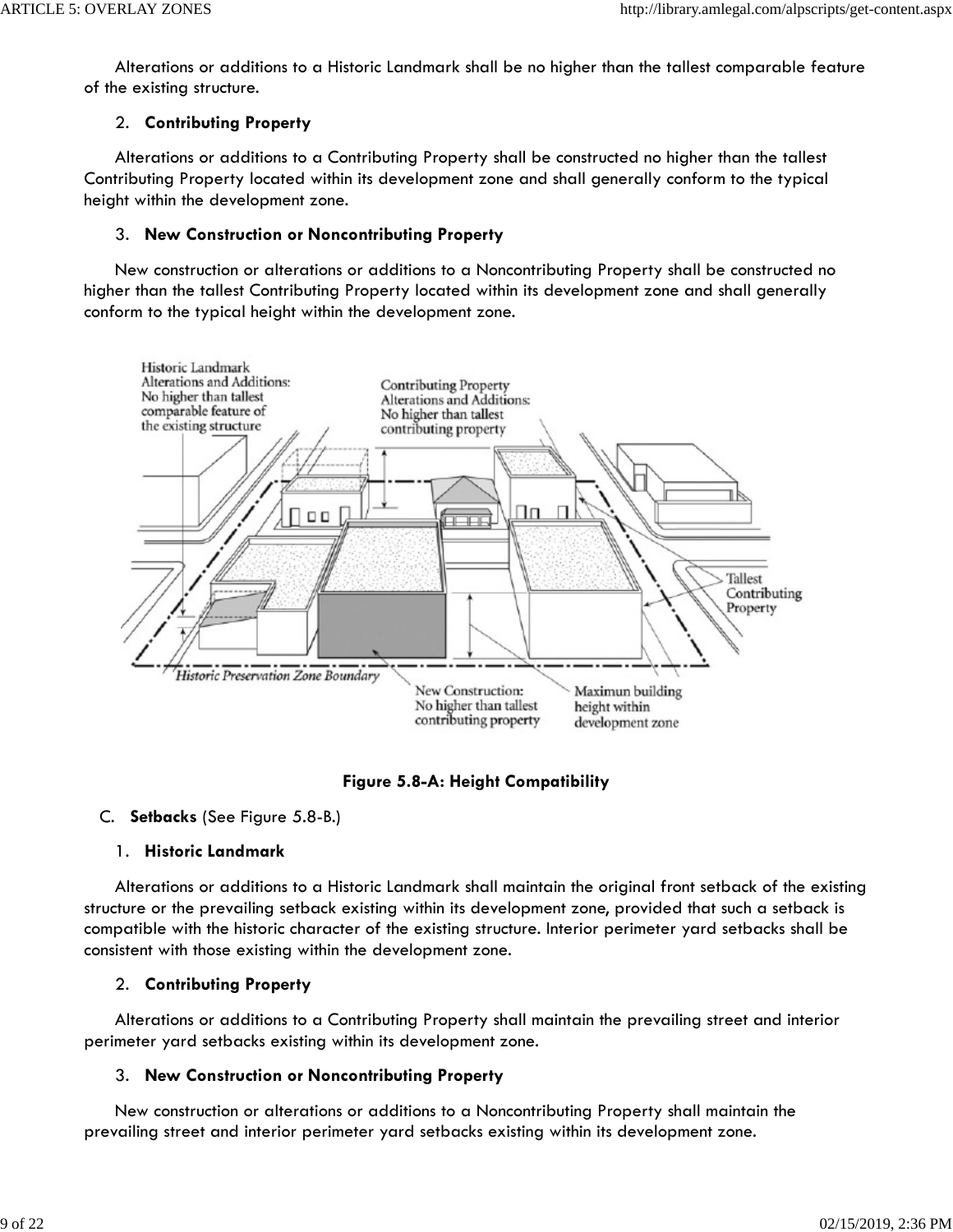Alterations or additions to a Historic Landmark shall be no higher than the tallest comparable feature of the existing structure.

## 2. **Contributing Property**

 Alterations or additions to a Contributing Property shall be constructed no higher than the tallest Contributing Property located within its development zone and shall generally conform to the typical height within the development zone.

### 3. **New Construction or Noncontributing Property**

 New construction or alterations or additions to a Noncontributing Property shall be constructed no higher than the tallest Contributing Property located within its development zone and shall generally conform to the typical height within the development zone.



**Figure 5.8-A: Height Compatibility**

### C. **Setbacks** (See Figure 5.8-B.)

# 1. **Historic Landmark**

 Alterations or additions to a Historic Landmark shall maintain the original front setback of the existing structure or the prevailing setback existing within its development zone, provided that such a setback is compatible with the historic character of the existing structure. Interior perimeter yard setbacks shall be consistent with those existing within the development zone.

# 2. **Contributing Property**

 Alterations or additions to a Contributing Property shall maintain the prevailing street and interior perimeter yard setbacks existing within its development zone.

# 3. **New Construction or Noncontributing Property**

 New construction or alterations or additions to a Noncontributing Property shall maintain the prevailing street and interior perimeter yard setbacks existing within its development zone.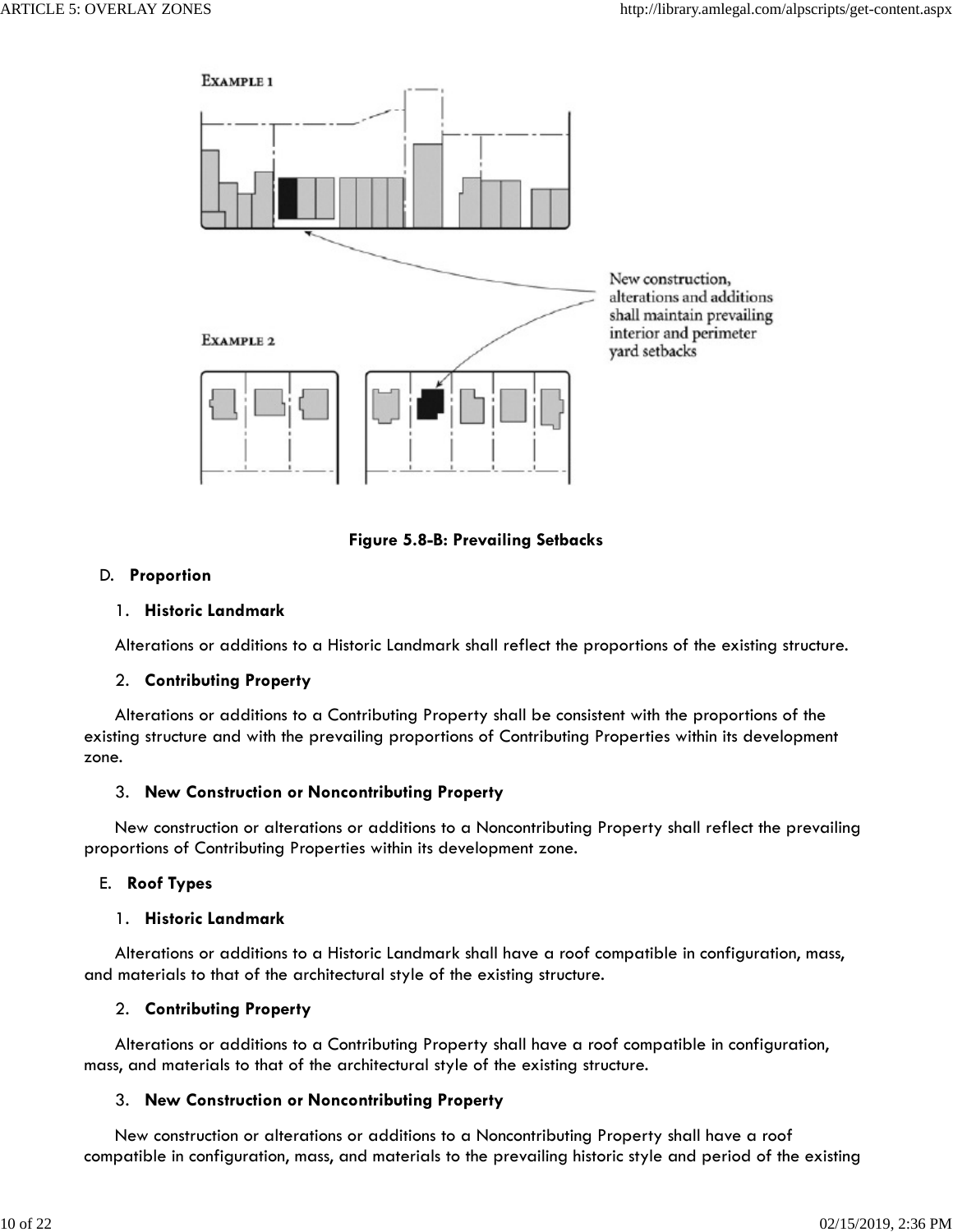



# D. **Proportion**

## 1. **Historic Landmark**

Alterations or additions to a Historic Landmark shall reflect the proportions of the existing structure.

# 2. **Contributing Property**

 Alterations or additions to a Contributing Property shall be consistent with the proportions of the existing structure and with the prevailing proportions of Contributing Properties within its development zone.

# 3. **New Construction or Noncontributing Property**

 New construction or alterations or additions to a Noncontributing Property shall reflect the prevailing proportions of Contributing Properties within its development zone.

# E. **Roof Types**

### 1. **Historic Landmark**

 Alterations or additions to a Historic Landmark shall have a roof compatible in configuration, mass, and materials to that of the architectural style of the existing structure.

# 2. **Contributing Property**

 Alterations or additions to a Contributing Property shall have a roof compatible in configuration, mass, and materials to that of the architectural style of the existing structure.

# 3. **New Construction or Noncontributing Property**

 New construction or alterations or additions to a Noncontributing Property shall have a roof compatible in configuration, mass, and materials to the prevailing historic style and period of the existing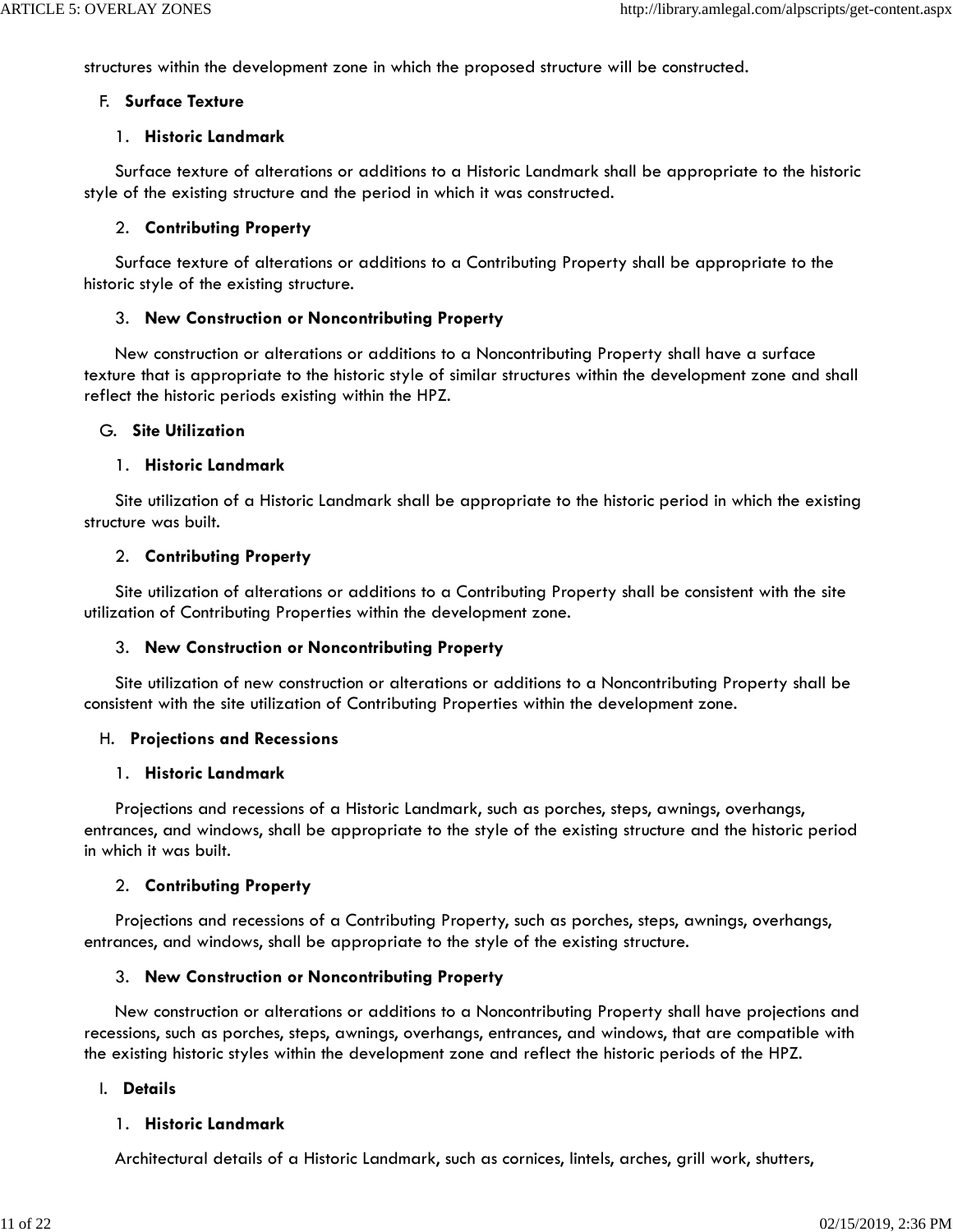structures within the development zone in which the proposed structure will be constructed.

#### F. **Surface Texture**

#### 1. **Historic Landmark**

 Surface texture of alterations or additions to a Historic Landmark shall be appropriate to the historic style of the existing structure and the period in which it was constructed.

### 2. **Contributing Property**

 Surface texture of alterations or additions to a Contributing Property shall be appropriate to the historic style of the existing structure.

### 3. **New Construction or Noncontributing Property**

 New construction or alterations or additions to a Noncontributing Property shall have a surface texture that is appropriate to the historic style of similar structures within the development zone and shall reflect the historic periods existing within the HPZ.

### G. **Site Utilization**

### 1. **Historic Landmark**

 Site utilization of a Historic Landmark shall be appropriate to the historic period in which the existing structure was built.

### 2. **Contributing Property**

 Site utilization of alterations or additions to a Contributing Property shall be consistent with the site utilization of Contributing Properties within the development zone.

### 3. **New Construction or Noncontributing Property**

 Site utilization of new construction or alterations or additions to a Noncontributing Property shall be consistent with the site utilization of Contributing Properties within the development zone.

### H. **Projections and Recessions**

### 1. **Historic Landmark**

 Projections and recessions of a Historic Landmark, such as porches, steps, awnings, overhangs, entrances, and windows, shall be appropriate to the style of the existing structure and the historic period in which it was built.

### 2. **Contributing Property**

 Projections and recessions of a Contributing Property, such as porches, steps, awnings, overhangs, entrances, and windows, shall be appropriate to the style of the existing structure.

### 3. **New Construction or Noncontributing Property**

 New construction or alterations or additions to a Noncontributing Property shall have projections and recessions, such as porches, steps, awnings, overhangs, entrances, and windows, that are compatible with the existing historic styles within the development zone and reflect the historic periods of the HPZ.

### I. **Details**

### 1. **Historic Landmark**

Architectural details of a Historic Landmark, such as cornices, lintels, arches, grill work, shutters,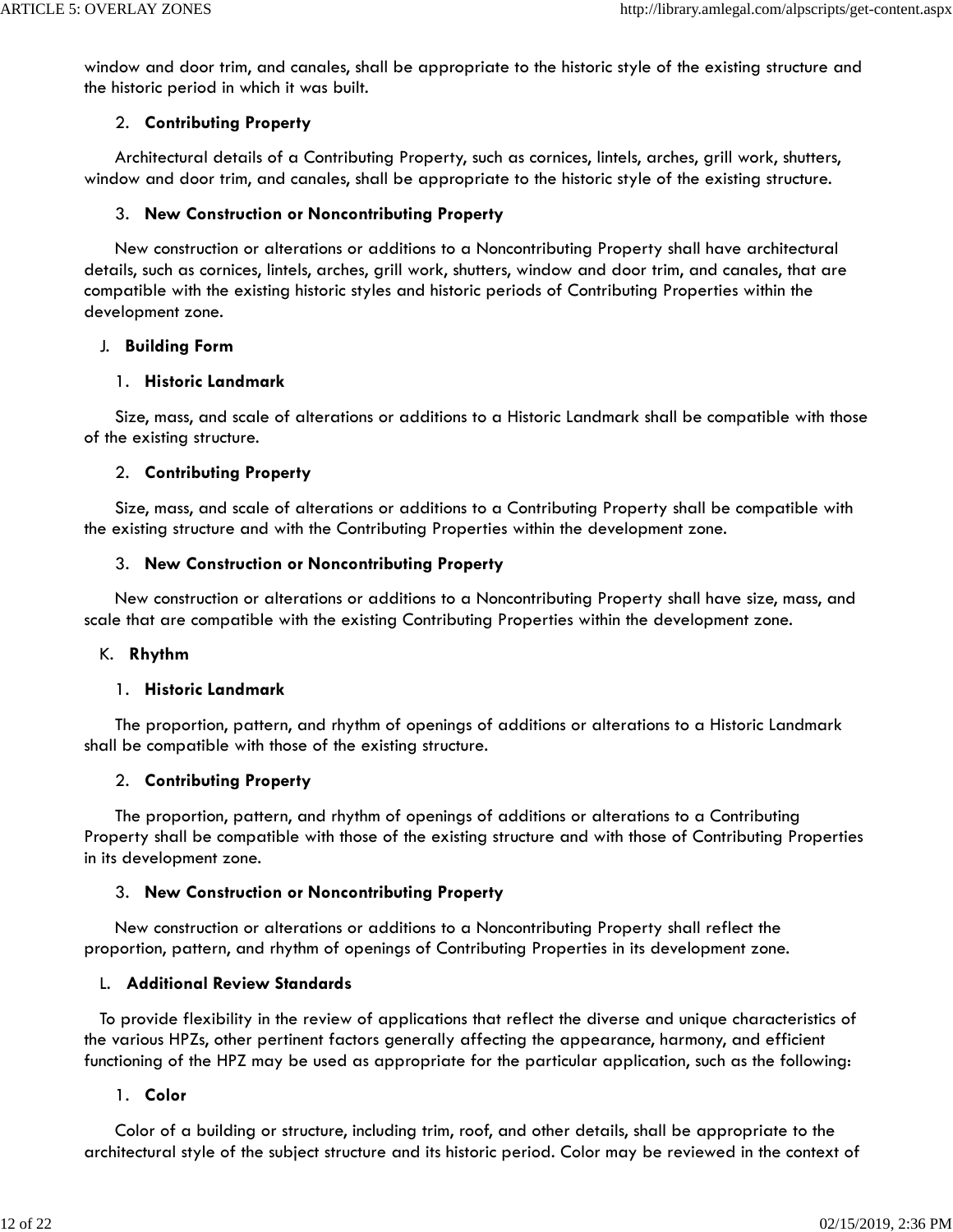window and door trim, and canales, shall be appropriate to the historic style of the existing structure and the historic period in which it was built.

### 2. **Contributing Property**

 Architectural details of a Contributing Property, such as cornices, lintels, arches, grill work, shutters, window and door trim, and canales, shall be appropriate to the historic style of the existing structure.

## 3. **New Construction or Noncontributing Property**

 New construction or alterations or additions to a Noncontributing Property shall have architectural details, such as cornices, lintels, arches, grill work, shutters, window and door trim, and canales, that are compatible with the existing historic styles and historic periods of Contributing Properties within the development zone.

### J. **Building Form**

### 1. **Historic Landmark**

 Size, mass, and scale of alterations or additions to a Historic Landmark shall be compatible with those of the existing structure.

## 2. **Contributing Property**

 Size, mass, and scale of alterations or additions to a Contributing Property shall be compatible with the existing structure and with the Contributing Properties within the development zone.

## 3. **New Construction or Noncontributing Property**

 New construction or alterations or additions to a Noncontributing Property shall have size, mass, and scale that are compatible with the existing Contributing Properties within the development zone.

### K. **Rhythm**

### 1. **Historic Landmark**

 The proportion, pattern, and rhythm of openings of additions or alterations to a Historic Landmark shall be compatible with those of the existing structure.

### 2. **Contributing Property**

 The proportion, pattern, and rhythm of openings of additions or alterations to a Contributing Property shall be compatible with those of the existing structure and with those of Contributing Properties in its development zone.

# 3. **New Construction or Noncontributing Property**

 New construction or alterations or additions to a Noncontributing Property shall reflect the proportion, pattern, and rhythm of openings of Contributing Properties in its development zone.

### L. **Additional Review Standards**

 To provide flexibility in the review of applications that reflect the diverse and unique characteristics of the various HPZs, other pertinent factors generally affecting the appearance, harmony, and efficient functioning of the HPZ may be used as appropriate for the particular application, such as the following:

### 1. **Color**

 Color of a building or structure, including trim, roof, and other details, shall be appropriate to the architectural style of the subject structure and its historic period. Color may be reviewed in the context of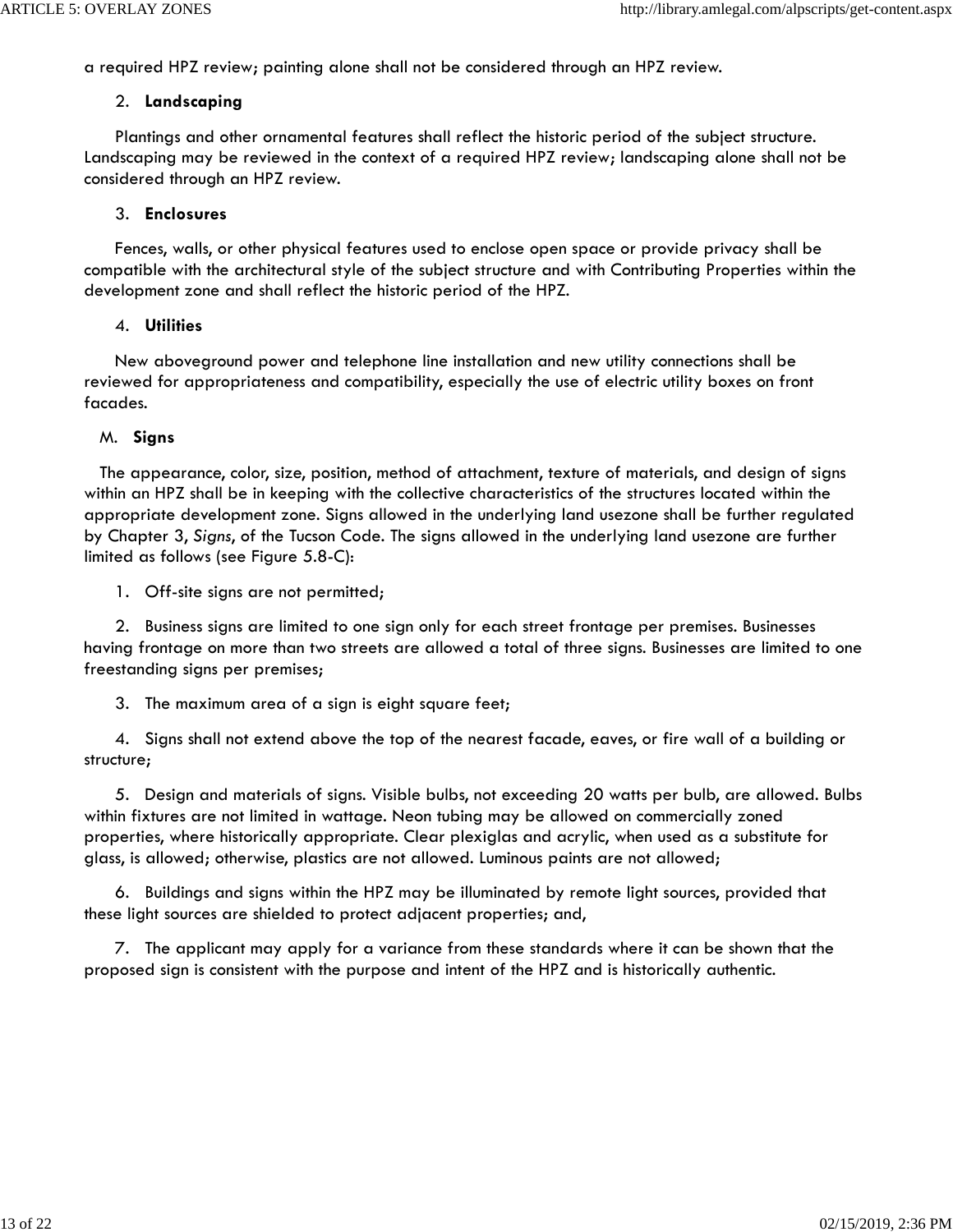a required HPZ review; painting alone shall not be considered through an HPZ review.

#### 2. **Landscaping**

 Plantings and other ornamental features shall reflect the historic period of the subject structure. Landscaping may be reviewed in the context of a required HPZ review; landscaping alone shall not be considered through an HPZ review.

#### 3. **Enclosures**

 Fences, walls, or other physical features used to enclose open space or provide privacy shall be compatible with the architectural style of the subject structure and with Contributing Properties within the development zone and shall reflect the historic period of the HPZ.

#### 4. **Utilities**

 New aboveground power and telephone line installation and new utility connections shall be reviewed for appropriateness and compatibility, especially the use of electric utility boxes on front facades.

#### M. **Signs**

 The appearance, color, size, position, method of attachment, texture of materials, and design of signs within an HPZ shall be in keeping with the collective characteristics of the structures located within the appropriate development zone. Signs allowed in the underlying land usezone shall be further regulated by Chapter 3, *Signs*, of the Tucson Code. The signs allowed in the underlying land usezone are further limited as follows (see Figure 5.8-C):

1. Off-site signs are not permitted;

 2. Business signs are limited to one sign only for each street frontage per premises. Businesses having frontage on more than two streets are allowed a total of three signs. Businesses are limited to one freestanding signs per premises;

3. The maximum area of a sign is eight square feet;

 4. Signs shall not extend above the top of the nearest facade, eaves, or fire wall of a building or structure;

 5. Design and materials of signs. Visible bulbs, not exceeding 20 watts per bulb, are allowed. Bulbs within fixtures are not limited in wattage. Neon tubing may be allowed on commercially zoned properties, where historically appropriate. Clear plexiglas and acrylic, when used as a substitute for glass, is allowed; otherwise, plastics are not allowed. Luminous paints are not allowed;

 6. Buildings and signs within the HPZ may be illuminated by remote light sources, provided that these light sources are shielded to protect adjacent properties; and,

 7. The applicant may apply for a variance from these standards where it can be shown that the proposed sign is consistent with the purpose and intent of the HPZ and is historically authentic.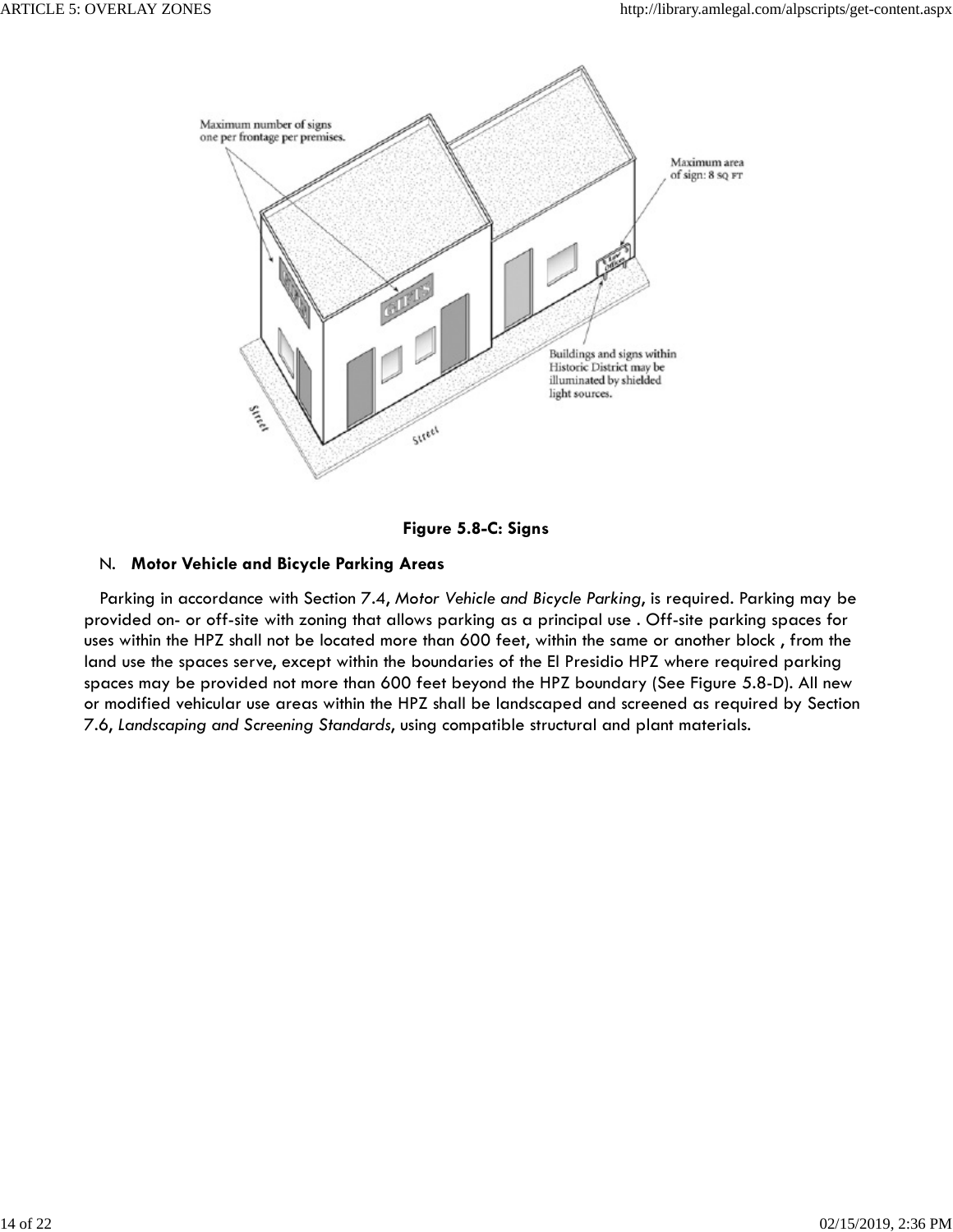

**Figure 5.8-C: Signs**

# N. **Motor Vehicle and Bicycle Parking Areas**

 Parking in accordance with Section 7.4, *Motor Vehicle and Bicycle Parking*, is required. Parking may be provided on- or off-site with zoning that allows parking as a principal use . Off-site parking spaces for uses within the HPZ shall not be located more than 600 feet, within the same or another block , from the land use the spaces serve, except within the boundaries of the El Presidio HPZ where required parking spaces may be provided not more than 600 feet beyond the HPZ boundary (See Figure 5.8-D). All new or modified vehicular use areas within the HPZ shall be landscaped and screened as required by Section 7.6, *Landscaping and Screening Standards*, using compatible structural and plant materials.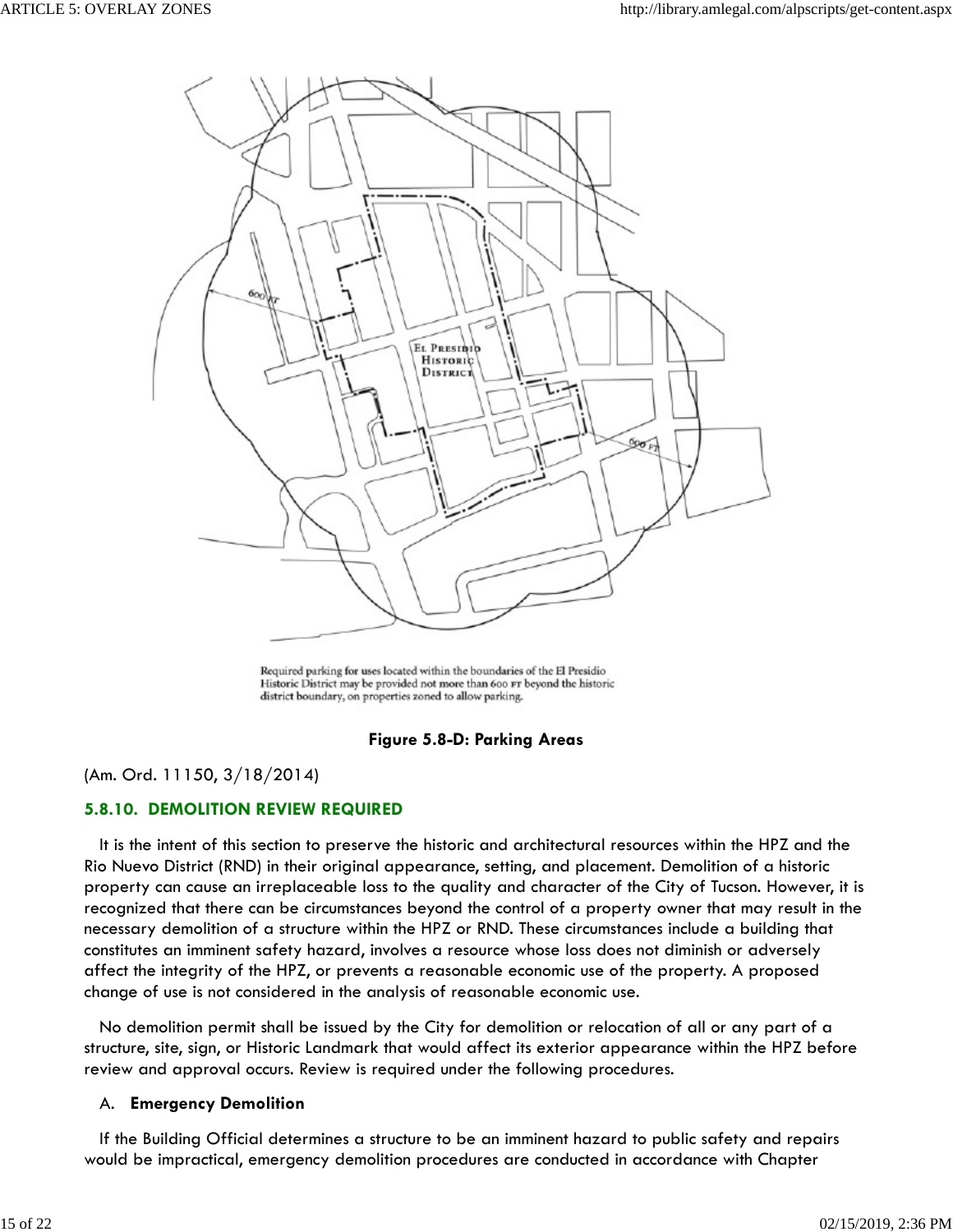

Required parking for uses located within the boundaries of the El Presidio Historic District may be provided not more than 600 FT beyond the historic district boundary, on properties zoned to allow parking.

### **Figure 5.8-D: Parking Areas**

(Am. Ord. 11150, 3/18/2014)

### **5.8.10. DEMOLITION REVIEW REQUIRED**

 It is the intent of this section to preserve the historic and architectural resources within the HPZ and the Rio Nuevo District (RND) in their original appearance, setting, and placement. Demolition of a historic property can cause an irreplaceable loss to the quality and character of the City of Tucson. However, it is recognized that there can be circumstances beyond the control of a property owner that may result in the necessary demolition of a structure within the HPZ or RND. These circumstances include a building that constitutes an imminent safety hazard, involves a resource whose loss does not diminish or adversely affect the integrity of the HPZ, or prevents a reasonable economic use of the property. A proposed change of use is not considered in the analysis of reasonable economic use.

 No demolition permit shall be issued by the City for demolition or relocation of all or any part of a structure, site, sign, or Historic Landmark that would affect its exterior appearance within the HPZ before review and approval occurs. Review is required under the following procedures.

#### A. **Emergency Demolition**

 If the Building Official determines a structure to be an imminent hazard to public safety and repairs would be impractical, emergency demolition procedures are conducted in accordance with Chapter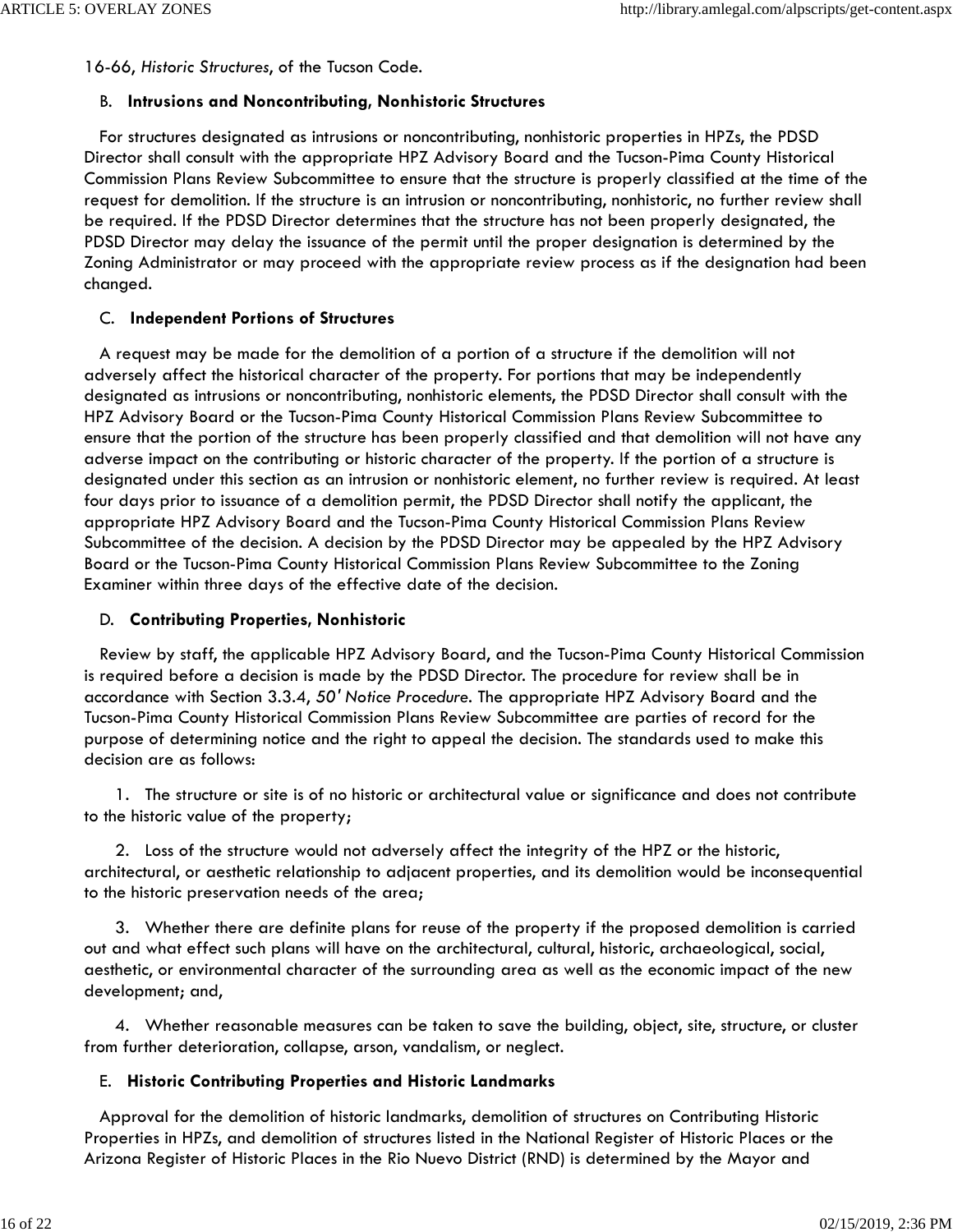16-66, *Historic Structures*, of the Tucson Code.

### B. **Intrusions and Noncontributing, Nonhistoric Structures**

 For structures designated as intrusions or noncontributing, nonhistoric properties in HPZs, the PDSD Director shall consult with the appropriate HPZ Advisory Board and the Tucson-Pima County Historical Commission Plans Review Subcommittee to ensure that the structure is properly classified at the time of the request for demolition. If the structure is an intrusion or noncontributing, nonhistoric, no further review shall be required. If the PDSD Director determines that the structure has not been properly designated, the PDSD Director may delay the issuance of the permit until the proper designation is determined by the Zoning Administrator or may proceed with the appropriate review process as if the designation had been changed.

### C. **Independent Portions of Structures**

 A request may be made for the demolition of a portion of a structure if the demolition will not adversely affect the historical character of the property. For portions that may be independently designated as intrusions or noncontributing, nonhistoric elements, the PDSD Director shall consult with the HPZ Advisory Board or the Tucson-Pima County Historical Commission Plans Review Subcommittee to ensure that the portion of the structure has been properly classified and that demolition will not have any adverse impact on the contributing or historic character of the property. If the portion of a structure is designated under this section as an intrusion or nonhistoric element, no further review is required. At least four days prior to issuance of a demolition permit, the PDSD Director shall notify the applicant, the appropriate HPZ Advisory Board and the Tucson-Pima County Historical Commission Plans Review Subcommittee of the decision. A decision by the PDSD Director may be appealed by the HPZ Advisory Board or the Tucson-Pima County Historical Commission Plans Review Subcommittee to the Zoning Examiner within three days of the effective date of the decision.

### D. **Contributing Properties, Nonhistoric**

 Review by staff, the applicable HPZ Advisory Board, and the Tucson-Pima County Historical Commission is required before a decision is made by the PDSD Director. The procedure for review shall be in accordance with Section 3.3.4, *50' Notice Procedure*. The appropriate HPZ Advisory Board and the Tucson-Pima County Historical Commission Plans Review Subcommittee are parties of record for the purpose of determining notice and the right to appeal the decision. The standards used to make this decision are as follows:

 1. The structure or site is of no historic or architectural value or significance and does not contribute to the historic value of the property;

 2. Loss of the structure would not adversely affect the integrity of the HPZ or the historic, architectural, or aesthetic relationship to adjacent properties, and its demolition would be inconsequential to the historic preservation needs of the area;

 3. Whether there are definite plans for reuse of the property if the proposed demolition is carried out and what effect such plans will have on the architectural, cultural, historic, archaeological, social, aesthetic, or environmental character of the surrounding area as well as the economic impact of the new development; and,

 4. Whether reasonable measures can be taken to save the building, object, site, structure, or cluster from further deterioration, collapse, arson, vandalism, or neglect.

### E. **Historic Contributing Properties and Historic Landmarks**

 Approval for the demolition of historic landmarks, demolition of structures on Contributing Historic Properties in HPZs, and demolition of structures listed in the National Register of Historic Places or the Arizona Register of Historic Places in the Rio Nuevo District (RND) is determined by the Mayor and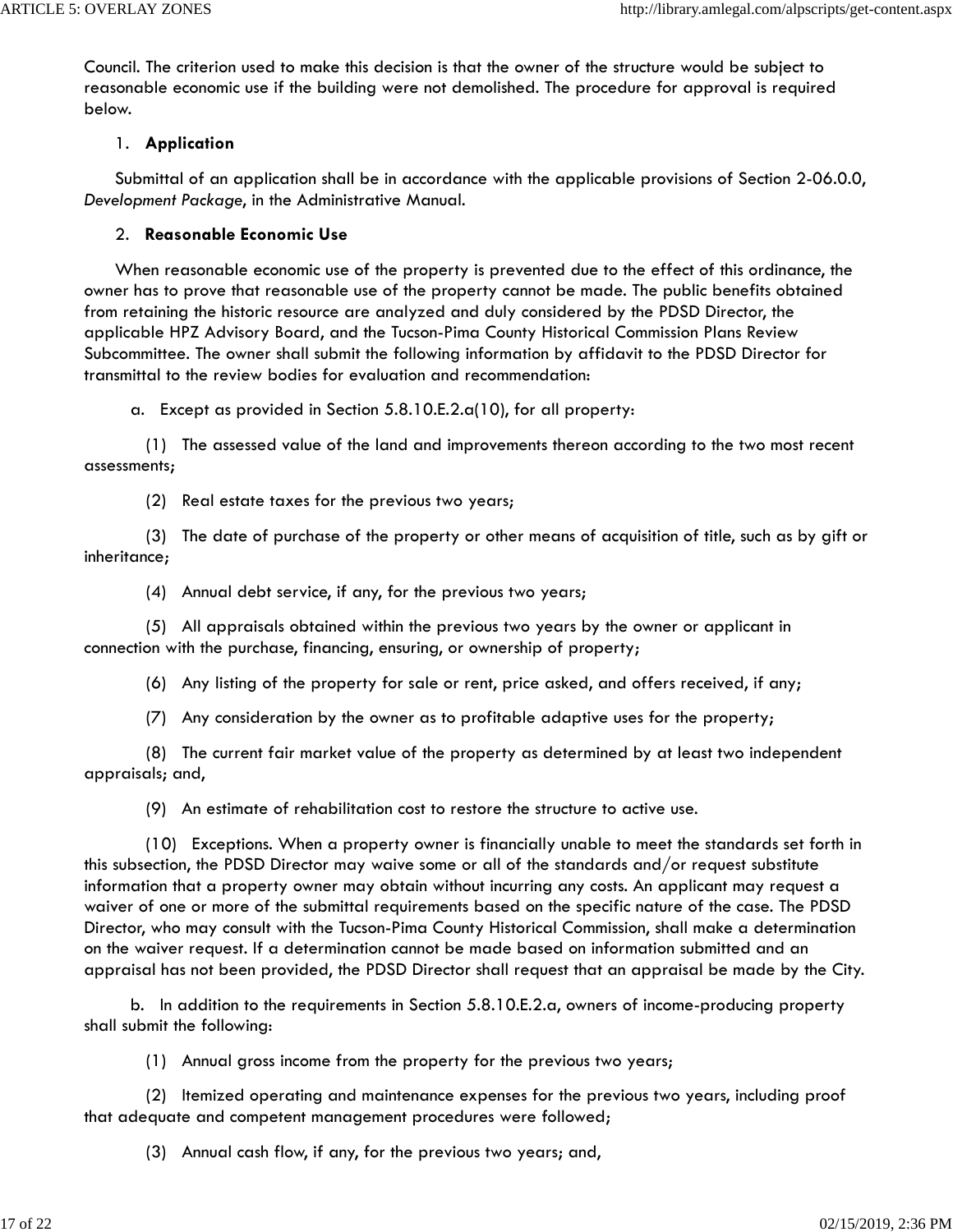Council. The criterion used to make this decision is that the owner of the structure would be subject to reasonable economic use if the building were not demolished. The procedure for approval is required below.

### 1. **Application**

 Submittal of an application shall be in accordance with the applicable provisions of Section 2-06.0.0, *Development Package*, in the Administrative Manual.

## 2. **Reasonable Economic Use**

 When reasonable economic use of the property is prevented due to the effect of this ordinance, the owner has to prove that reasonable use of the property cannot be made. The public benefits obtained from retaining the historic resource are analyzed and duly considered by the PDSD Director, the applicable HPZ Advisory Board, and the Tucson-Pima County Historical Commission Plans Review Subcommittee. The owner shall submit the following information by affidavit to the PDSD Director for transmittal to the review bodies for evaluation and recommendation:

a. Except as provided in Section 5.8.10.E.2.a(10), for all property:

 (1) The assessed value of the land and improvements thereon according to the two most recent assessments;

(2) Real estate taxes for the previous two years;

 (3) The date of purchase of the property or other means of acquisition of title, such as by gift or inheritance;

(4) Annual debt service, if any, for the previous two years;

 (5) All appraisals obtained within the previous two years by the owner or applicant in connection with the purchase, financing, ensuring, or ownership of property;

(6) Any listing of the property for sale or rent, price asked, and offers received, if any;

(7) Any consideration by the owner as to profitable adaptive uses for the property;

 (8) The current fair market value of the property as determined by at least two independent appraisals; and,

(9) An estimate of rehabilitation cost to restore the structure to active use.

 (10) Exceptions. When a property owner is financially unable to meet the standards set forth in this subsection, the PDSD Director may waive some or all of the standards and/or request substitute information that a property owner may obtain without incurring any costs. An applicant may request a waiver of one or more of the submittal requirements based on the specific nature of the case. The PDSD Director, who may consult with the Tucson-Pima County Historical Commission, shall make a determination on the waiver request. If a determination cannot be made based on information submitted and an appraisal has not been provided, the PDSD Director shall request that an appraisal be made by the City.

 b. In addition to the requirements in Section 5.8.10.E.2.a, owners of income-producing property shall submit the following:

(1) Annual gross income from the property for the previous two years;

 (2) Itemized operating and maintenance expenses for the previous two years, including proof that adequate and competent management procedures were followed;

(3) Annual cash flow, if any, for the previous two years; and,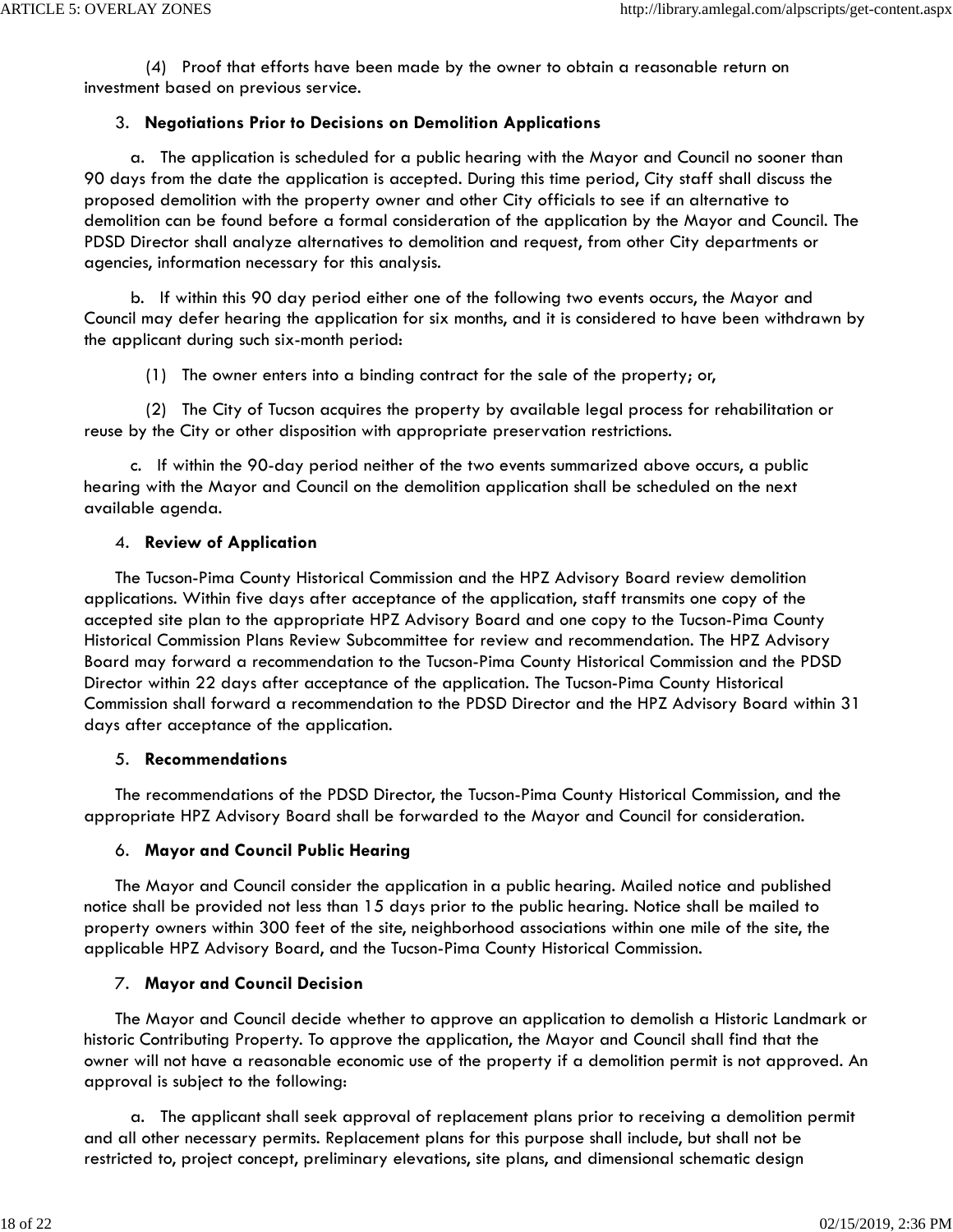(4) Proof that efforts have been made by the owner to obtain a reasonable return on investment based on previous service.

## 3. **Negotiations Prior to Decisions on Demolition Applications**

 a. The application is scheduled for a public hearing with the Mayor and Council no sooner than 90 days from the date the application is accepted. During this time period, City staff shall discuss the proposed demolition with the property owner and other City officials to see if an alternative to demolition can be found before a formal consideration of the application by the Mayor and Council. The PDSD Director shall analyze alternatives to demolition and request, from other City departments or agencies, information necessary for this analysis.

 b. If within this 90 day period either one of the following two events occurs, the Mayor and Council may defer hearing the application for six months, and it is considered to have been withdrawn by the applicant during such six-month period:

(1) The owner enters into a binding contract for the sale of the property; or,

 (2) The City of Tucson acquires the property by available legal process for rehabilitation or reuse by the City or other disposition with appropriate preservation restrictions.

 c. If within the 90-day period neither of the two events summarized above occurs, a public hearing with the Mayor and Council on the demolition application shall be scheduled on the next available agenda.

## 4. **Review of Application**

 The Tucson-Pima County Historical Commission and the HPZ Advisory Board review demolition applications. Within five days after acceptance of the application, staff transmits one copy of the accepted site plan to the appropriate HPZ Advisory Board and one copy to the Tucson-Pima County Historical Commission Plans Review Subcommittee for review and recommendation. The HPZ Advisory Board may forward a recommendation to the Tucson-Pima County Historical Commission and the PDSD Director within 22 days after acceptance of the application. The Tucson-Pima County Historical Commission shall forward a recommendation to the PDSD Director and the HPZ Advisory Board within 31 days after acceptance of the application.

### 5. **Recommendations**

 The recommendations of the PDSD Director, the Tucson-Pima County Historical Commission, and the appropriate HPZ Advisory Board shall be forwarded to the Mayor and Council for consideration.

# 6. **Mayor and Council Public Hearing**

 The Mayor and Council consider the application in a public hearing. Mailed notice and published notice shall be provided not less than 15 days prior to the public hearing. Notice shall be mailed to property owners within 300 feet of the site, neighborhood associations within one mile of the site, the applicable HPZ Advisory Board, and the Tucson-Pima County Historical Commission.

# 7. **Mayor and Council Decision**

 The Mayor and Council decide whether to approve an application to demolish a Historic Landmark or historic Contributing Property. To approve the application, the Mayor and Council shall find that the owner will not have a reasonable economic use of the property if a demolition permit is not approved. An approval is subject to the following:

 a. The applicant shall seek approval of replacement plans prior to receiving a demolition permit and all other necessary permits. Replacement plans for this purpose shall include, but shall not be restricted to, project concept, preliminary elevations, site plans, and dimensional schematic design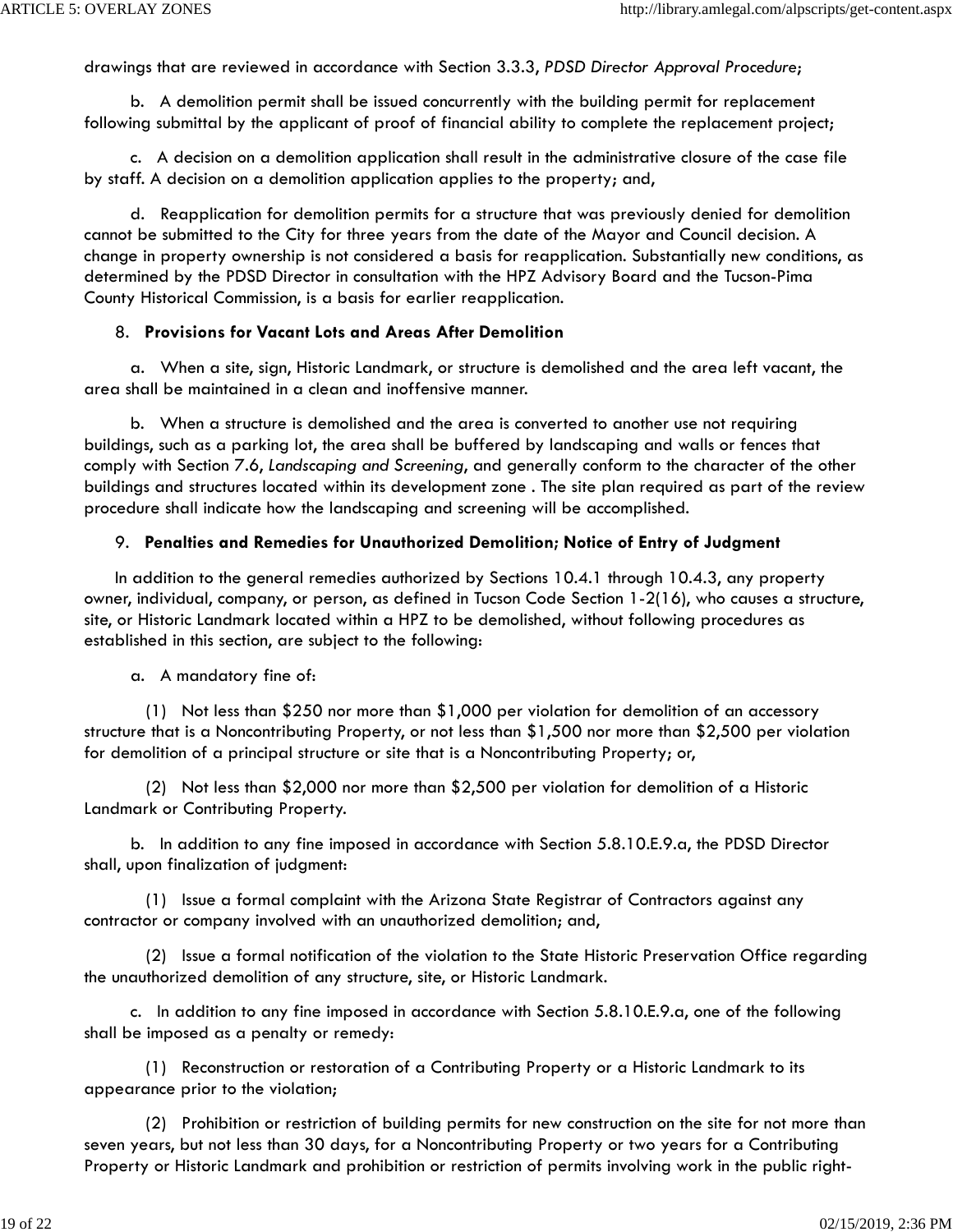drawings that are reviewed in accordance with Section 3.3.3, *PDSD Director Approval Procedure*;

 b. A demolition permit shall be issued concurrently with the building permit for replacement following submittal by the applicant of proof of financial ability to complete the replacement project;

 c. A decision on a demolition application shall result in the administrative closure of the case file by staff. A decision on a demolition application applies to the property; and,

 d. Reapplication for demolition permits for a structure that was previously denied for demolition cannot be submitted to the City for three years from the date of the Mayor and Council decision. A change in property ownership is not considered a basis for reapplication. Substantially new conditions, as determined by the PDSD Director in consultation with the HPZ Advisory Board and the Tucson-Pima County Historical Commission, is a basis for earlier reapplication.

#### 8. **Provisions for Vacant Lots and Areas After Demolition**

 a. When a site, sign, Historic Landmark, or structure is demolished and the area left vacant, the area shall be maintained in a clean and inoffensive manner.

 b. When a structure is demolished and the area is converted to another use not requiring buildings, such as a parking lot, the area shall be buffered by landscaping and walls or fences that comply with Section 7.6, *Landscaping and Screening*, and generally conform to the character of the other buildings and structures located within its development zone . The site plan required as part of the review procedure shall indicate how the landscaping and screening will be accomplished.

#### 9. **Penalties and Remedies for Unauthorized Demolition; Notice of Entry of Judgment**

 In addition to the general remedies authorized by Sections 10.4.1 through 10.4.3, any property owner, individual, company, or person, as defined in Tucson Code Section 1-2(16), who causes a structure, site, or Historic Landmark located within a HPZ to be demolished, without following procedures as established in this section, are subject to the following:

#### a. A mandatory fine of:

 (1) Not less than \$250 nor more than \$1,000 per violation for demolition of an accessory structure that is a Noncontributing Property, or not less than \$1,500 nor more than \$2,500 per violation for demolition of a principal structure or site that is a Noncontributing Property; or,

 (2) Not less than \$2,000 nor more than \$2,500 per violation for demolition of a Historic Landmark or Contributing Property.

 b. In addition to any fine imposed in accordance with Section 5.8.10.E.9.a, the PDSD Director shall, upon finalization of judgment:

 (1) Issue a formal complaint with the Arizona State Registrar of Contractors against any contractor or company involved with an unauthorized demolition; and,

 (2) Issue a formal notification of the violation to the State Historic Preservation Office regarding the unauthorized demolition of any structure, site, or Historic Landmark.

 c. In addition to any fine imposed in accordance with Section 5.8.10.E.9.a, one of the following shall be imposed as a penalty or remedy:

 (1) Reconstruction or restoration of a Contributing Property or a Historic Landmark to its appearance prior to the violation;

 (2) Prohibition or restriction of building permits for new construction on the site for not more than seven years, but not less than 30 days, for a Noncontributing Property or two years for a Contributing Property or Historic Landmark and prohibition or restriction of permits involving work in the public right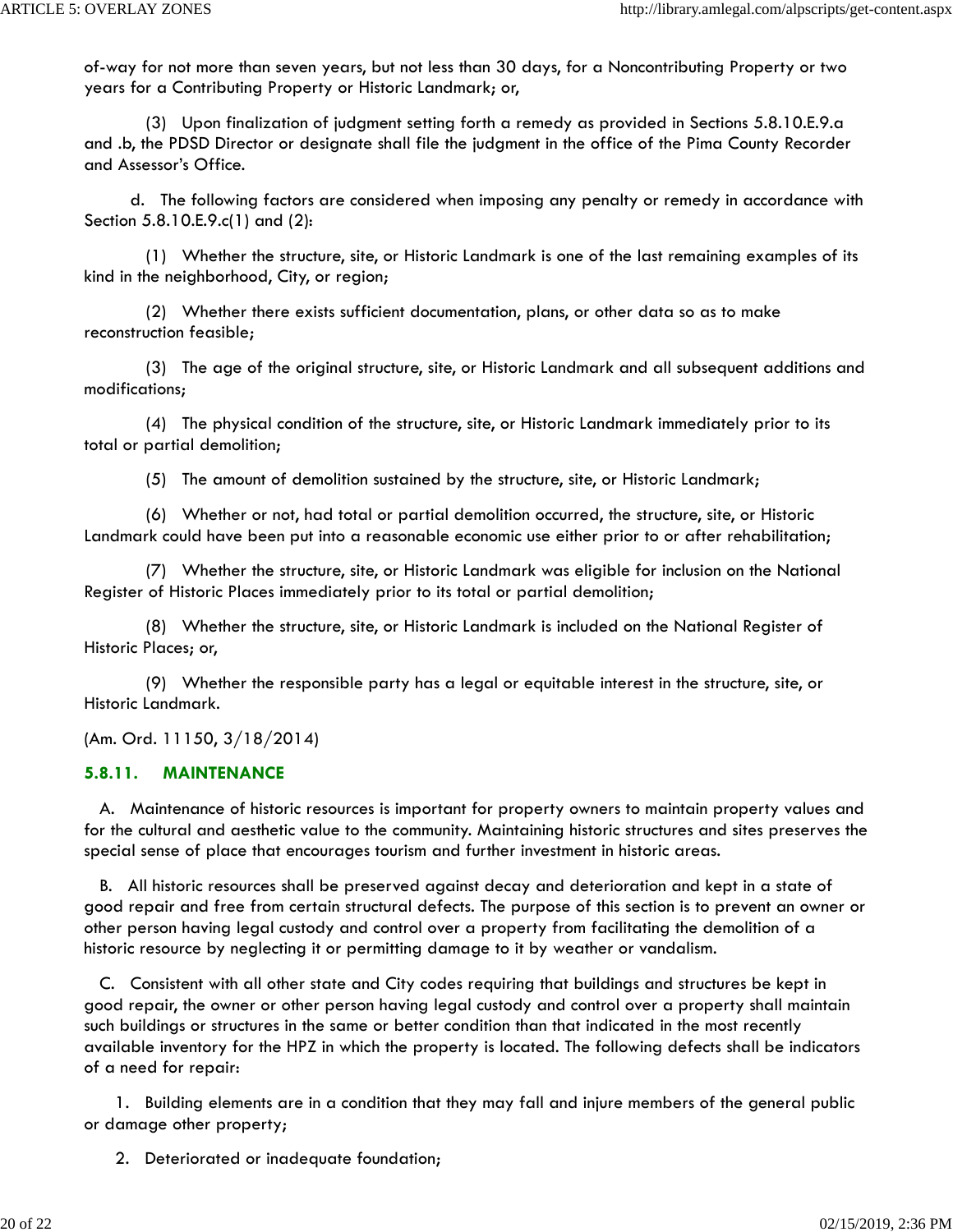of-way for not more than seven years, but not less than 30 days, for a Noncontributing Property or two years for a Contributing Property or Historic Landmark; or,

 (3) Upon finalization of judgment setting forth a remedy as provided in Sections 5.8.10.E.9.a and .b, the PDSD Director or designate shall file the judgment in the office of the Pima County Recorder and Assessor's Office.

 d. The following factors are considered when imposing any penalty or remedy in accordance with Section 5.8.10.E.9.c(1) and (2):

 (1) Whether the structure, site, or Historic Landmark is one of the last remaining examples of its kind in the neighborhood, City, or region;

 (2) Whether there exists sufficient documentation, plans, or other data so as to make reconstruction feasible;

 (3) The age of the original structure, site, or Historic Landmark and all subsequent additions and modifications;

 (4) The physical condition of the structure, site, or Historic Landmark immediately prior to its total or partial demolition;

(5) The amount of demolition sustained by the structure, site, or Historic Landmark;

 (6) Whether or not, had total or partial demolition occurred, the structure, site, or Historic Landmark could have been put into a reasonable economic use either prior to or after rehabilitation;

 (7) Whether the structure, site, or Historic Landmark was eligible for inclusion on the National Register of Historic Places immediately prior to its total or partial demolition;

 (8) Whether the structure, site, or Historic Landmark is included on the National Register of Historic Places; or,

 (9) Whether the responsible party has a legal or equitable interest in the structure, site, or Historic Landmark.

(Am. Ord. 11150, 3/18/2014)

## **5.8.11. MAINTENANCE**

 A. Maintenance of historic resources is important for property owners to maintain property values and for the cultural and aesthetic value to the community. Maintaining historic structures and sites preserves the special sense of place that encourages tourism and further investment in historic areas.

 B. All historic resources shall be preserved against decay and deterioration and kept in a state of good repair and free from certain structural defects. The purpose of this section is to prevent an owner or other person having legal custody and control over a property from facilitating the demolition of a historic resource by neglecting it or permitting damage to it by weather or vandalism.

 C. Consistent with all other state and City codes requiring that buildings and structures be kept in good repair, the owner or other person having legal custody and control over a property shall maintain such buildings or structures in the same or better condition than that indicated in the most recently available inventory for the HPZ in which the property is located. The following defects shall be indicators of a need for repair:

 1. Building elements are in a condition that they may fall and injure members of the general public or damage other property;

2. Deteriorated or inadequate foundation;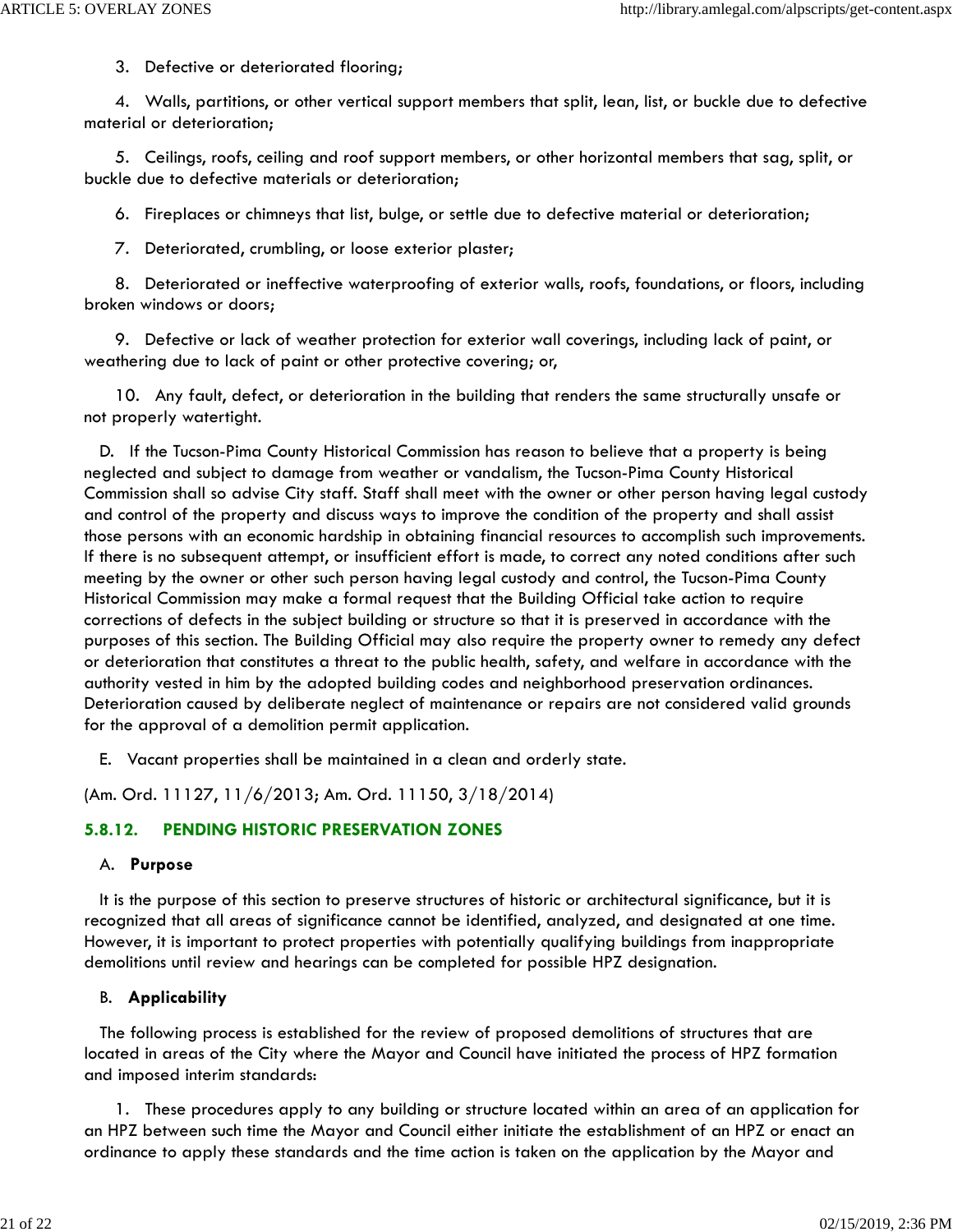3. Defective or deteriorated flooring;

 4. Walls, partitions, or other vertical support members that split, lean, list, or buckle due to defective material or deterioration;

 5. Ceilings, roofs, ceiling and roof support members, or other horizontal members that sag, split, or buckle due to defective materials or deterioration;

6. Fireplaces or chimneys that list, bulge, or settle due to defective material or deterioration;

7. Deteriorated, crumbling, or loose exterior plaster;

 8. Deteriorated or ineffective waterproofing of exterior walls, roofs, foundations, or floors, including broken windows or doors;

 9. Defective or lack of weather protection for exterior wall coverings, including lack of paint, or weathering due to lack of paint or other protective covering; or,

 10. Any fault, defect, or deterioration in the building that renders the same structurally unsafe or not properly watertight.

 D. If the Tucson-Pima County Historical Commission has reason to believe that a property is being neglected and subject to damage from weather or vandalism, the Tucson-Pima County Historical Commission shall so advise City staff. Staff shall meet with the owner or other person having legal custody and control of the property and discuss ways to improve the condition of the property and shall assist those persons with an economic hardship in obtaining financial resources to accomplish such improvements. If there is no subsequent attempt, or insufficient effort is made, to correct any noted conditions after such meeting by the owner or other such person having legal custody and control, the Tucson-Pima County Historical Commission may make a formal request that the Building Official take action to require corrections of defects in the subject building or structure so that it is preserved in accordance with the purposes of this section. The Building Official may also require the property owner to remedy any defect or deterioration that constitutes a threat to the public health, safety, and welfare in accordance with the authority vested in him by the adopted building codes and neighborhood preservation ordinances. Deterioration caused by deliberate neglect of maintenance or repairs are not considered valid grounds for the approval of a demolition permit application.

E. Vacant properties shall be maintained in a clean and orderly state.

(Am. Ord. 11127, 11/6/2013; Am. Ord. 11150, 3/18/2014)

### **5.8.12. PENDING HISTORIC PRESERVATION ZONES**

#### A. **Purpose**

 It is the purpose of this section to preserve structures of historic or architectural significance, but it is recognized that all areas of significance cannot be identified, analyzed, and designated at one time. However, it is important to protect properties with potentially qualifying buildings from inappropriate demolitions until review and hearings can be completed for possible HPZ designation.

### B. **Applicability**

 The following process is established for the review of proposed demolitions of structures that are located in areas of the City where the Mayor and Council have initiated the process of HPZ formation and imposed interim standards:

 1. These procedures apply to any building or structure located within an area of an application for an HPZ between such time the Mayor and Council either initiate the establishment of an HPZ or enact an ordinance to apply these standards and the time action is taken on the application by the Mayor and